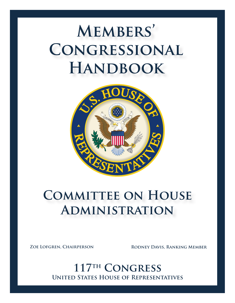

# **COMMITTEE ON HOUSE Administration**

**Zoe Lofgren, Chairperson Rodney Davis, Ranking Member**

**United States House of Representatives 117th Congress**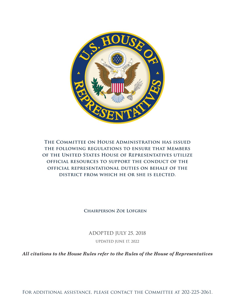

**The Committee on House Administration has issued the following regulations to ensure that Members of the United States House of Representatives utilize official resources to support the conduct of the official representational duties on behalf of the district from which he or she is elected.** 

**Chairperson Zoe Lofgren**

ADOPTED JULY 25, 2018

UPDATED JUNE 17, 2022

*All citations to the House Rules refer to the Rules of the House of Representatives*

For additional assistance, please contact the Committee at 202-225-2061.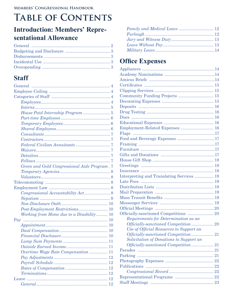# **TABLE OF CONTENTS**

# **Introduction: Members' Repre**sentational Allowance

# **Staff**

| Green and Gold Congressional Aide Program. 7 |
|----------------------------------------------|
|                                              |
|                                              |
|                                              |
|                                              |
|                                              |
|                                              |
|                                              |
|                                              |
| Working from Home due to a Disability 10     |
|                                              |
|                                              |
|                                              |
|                                              |
|                                              |
|                                              |
| Overtime Wage Rate Compensation 11           |
| 12                                           |
| 12                                           |
| 12                                           |
| 12                                           |
| 12                                           |
|                                              |

# **Office Expenses**

| Community Funding Projects  15            |  |
|-------------------------------------------|--|
|                                           |  |
|                                           |  |
|                                           |  |
|                                           |  |
|                                           |  |
| Employment-Related Expenses  16           |  |
|                                           |  |
| Food and Beverage Expenses 17             |  |
|                                           |  |
|                                           |  |
|                                           |  |
|                                           |  |
|                                           |  |
|                                           |  |
| Interpreting and Translating Services  19 |  |
|                                           |  |
|                                           |  |
|                                           |  |
|                                           |  |
|                                           |  |
|                                           |  |
|                                           |  |
| Requirements for Determination as an      |  |
|                                           |  |
| Use of Official Resources to Support an   |  |
|                                           |  |
| Solicitation of Donations to Support an   |  |
|                                           |  |
|                                           |  |
|                                           |  |
|                                           |  |
| Publications                              |  |
|                                           |  |
|                                           |  |
|                                           |  |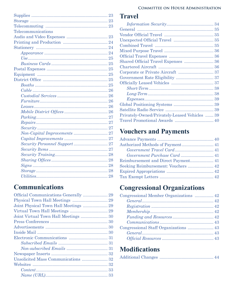#### **Committee on House Administration**

| Telecommunications |  |
|--------------------|--|
|                    |  |
|                    |  |
|                    |  |
|                    |  |
|                    |  |
|                    |  |
|                    |  |
|                    |  |
|                    |  |
|                    |  |
|                    |  |
|                    |  |
|                    |  |
|                    |  |
|                    |  |
|                    |  |
|                    |  |
|                    |  |
|                    |  |
|                    |  |
|                    |  |
|                    |  |
|                    |  |
|                    |  |
|                    |  |
|                    |  |
|                    |  |
|                    |  |

# **[Communications](#page-32-0)**

| Joint Physical Town Hall Meetings  29 |  |
|---------------------------------------|--|
|                                       |  |
| Joint Virtual Town Hall Meetings  30  |  |
|                                       |  |
|                                       |  |
|                                       |  |
|                                       |  |
|                                       |  |
|                                       |  |
|                                       |  |
|                                       |  |
|                                       |  |
|                                       |  |
|                                       |  |

# **[Travel](#page-37-0)**

| Shared Official Travel Expenses  36           |  |
|-----------------------------------------------|--|
|                                               |  |
|                                               |  |
|                                               |  |
|                                               |  |
|                                               |  |
|                                               |  |
|                                               |  |
|                                               |  |
|                                               |  |
| Privately-Owned/Privately-Leased Vehicles  39 |  |
|                                               |  |
|                                               |  |

# **[Vouchers and Payments](#page-43-0)**

| Reimbursement and Direct Payment 41 |  |
|-------------------------------------|--|
| Seeking Reimbursement: Vouchers  42 |  |
|                                     |  |
|                                     |  |
|                                     |  |

# **[Congressional Organizations](#page-45-0)**

# **[Modifications](#page-47-0)**

|--|--|--|--|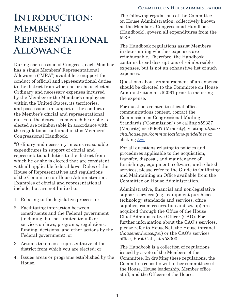# <span id="page-4-0"></span>**Introduction: Members' Representational Allowance**

During each session of Congress, each Member has a single Members' Representational Allowance ("MRA") available to support the conduct of official and representational duties to the district from which he or she is elected. Ordinary and necessary expenses incurred by the Member or the Member's employees within the United States, its territories, and possessions in support of the conduct of the Member's official and representational duties to the district from which he or she is elected are reimbursable in accordance with the regulations contained in this Members' Congressional Handbook.

"Ordinary and necessary" means reasonable expenditures in support of official and representational duties to the district from which he or she is elected that are consistent with all applicable federal laws, Rules of the House of Representatives and regulations of the Committee on House Administration. Examples of official and representational include, but are not limited to:

- 1. Relating to the legislative process; or
- 2. Facilitating interaction between constituents and the Federal government (including, but not limited to: info or services on laws, programs, regulations, funding, decisions, and other actions by the Federal government); or
- 3. Actions taken as a representative of the district from which you are elected; or
- 4. Issues areas or programs established by the House.

The following regulations of the Committee on House Administration, collectively known as the Members' Congressional Handbook (Handbook), govern all expenditures from the MRA.

The Handbook regulations assist Members in determining whether expenses are reimbursable. Therefore, the Handbook contains broad descriptions of reimbursable expenses, but is not an exhaustive list of such expenses.

Questions about reimbursement of an expense should be directed to the Committee on House Administration at x52061 prior to incurring the expense.

For questions related to official office communications content, contact the Commission on Congressional Mailing Standards ("Commission") by calling x59337 (Majority) or x60647 (Minority), visiting *https:// cha.house.gov/communications-guidelines* or clicking *here*.

For all questions relating to policies and procedures applicable to the acquisition, transfer, disposal, and maintenance of furnishings, equipment, software, and related services, please refer to the Guide to Outfitting and Maintaining an Office available from the Committee on House Administration.

Administrative, financial and non-legislative support services (e.g., equipment purchases, technology standards and services, office supplies, room reservation and set-up) are acquired through the Office of the House Chief Administrative Officer (CAO). For further information about the CAO's services, please refer to HouseNet, the House intranet (*housenet.house.gov*) or the CAO's services office, First Call, at x58000.

The Handbook is a collection of regulations issued by a vote of the Members of the Committee. In drafting these regulations, the Committee consults with other committees of the House, House leadership, Member office staff, and the Officers of the House.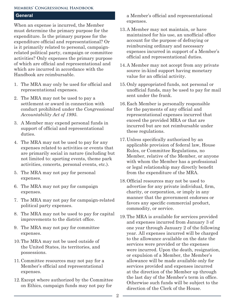#### <span id="page-5-0"></span>**General**

When an expense is incurred, the Member must determine the primary purpose for the expenditure. Is the primary purpose for the expenditure official and representational? Or is it primarily related to personal, campaignrelated political party, campaign or committee activities? Only expenses the primary purpose of which are official and representational and which are incurred in accordance with the Handbook are reimbursable.

- 1. The MRA may only be used for official and representational expenses.
- 2. The MRA may not be used to pay a settlement or award in connection with conduct prohibited under the *Congressional Accountability Act of 1995*.
- 3. A Member may expend personal funds in support of official and representational duties.
- 4. The MRA may not be used to pay for any expenses related to activities or events that are primarily social in nature (including but not limited to: sporting events, theme park activities, concerts, personal events, etc.).
- 5. The MRA may not pay for personal expenses.
- 6. The MRA may not pay for campaign expenses.
- 7. The MRA may not pay for campaign-related political party expenses.
- 8. The MRA may not be used to pay for capital improvements to the district office.
- 9. The MRA may not pay for committee expenses.
- 10.The MRA may not be used outside of the United States, its territories, and possessions.
- 11.Committee resources may not pay for a Member's official and representational expenses.
- 12.Except where authorized by the Committee on Ethics, campaign funds may not pay for

a Member's official and representational expenses.

- 13.A Member may not maintain, or have maintained for his use, an unofficial office account for the purpose of defraying or reimbursing ordinary and necessary expenses incurred in support of a Member's official and representational duties.
- 14.A Member may not accept from any private source in-kind support having monetary value for an official activity.
- 15.Only appropriated funds, not personal or unofficial funds, may be used to pay for mail sent under the frank.
- 16.Each Member is personally responsible for the payments of any official and representational expenses incurred that exceed the provided MRA or that are incurred but are not reimbursable under these regulations.
- 17.Unless specifically authorized by an applicable provision of federal law, House Rules, or Committee Regulations, no Member, relative of the Member, or anyone with whom the Member has a professional or legal relationship may directly benefit from the expenditure of the MRA.
- 18.Official resources may not be used to advertise for any private individual, firm, charity, or corporation, or imply in any manner that the government endorses or favors any specific commercial product, commodity, or service.
- 19.The MRA is available for services provided and expenses incurred from January 3 of one year through January 2 of the following year. All expenses incurred will be charged to the allowance available on the date the services were provided or the expenses were incurred. Upon the death, resignation, or expulsion of a Member, the Member's allowance will be made available only for services provided and expenses incurred at the direction of the Member up through the last day of the Member's term in office. Otherwise such funds will be subject to the direction of the Clerk of the House.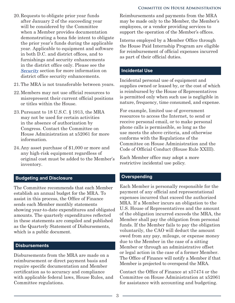- **Committee on House Administration**
- <span id="page-6-0"></span>20.Requests to obligate prior year funds after January 2 of the succeeding year will be considered by the Committee when a Member provides documentation demonstrating a bona fide intent to obligate the prior year's funds during the applicable year. Applicable to equipment and software in both D.C. and district offices, and to furnishings and security enhancements in the district office only. Please see the *[Security](#page-30-0)* section for more information on district office security enhancements.
- 21.The MRA is not transferable between years.
- 22.Members may not use official resources to misrepresent their current official positions or titles within the House.
- 23.Pursuant to 18 U.S.C. § 1913, the MRA may not be used for certain activities in the absence of authorization by Congress. Contact the Committee on House Administration at x52061 for more information.
- 24.Any asset purchase of \$1,000 or more and any high-risk equipment regardless of original cost must be added to the Member's inventory.

#### **Budgeting and Disclosure**

The Committee recommends that each Member establish an annual budget for the MRA. To assist in this process, the Office of Finance sends each Member monthly statements showing year-to-date expenditures and obligated amounts. The quarterly expenditures reflected in these statements are compiled and published as the Quarterly Statement of Disbursements, which is a public document.

#### **Disbursements**

Disbursements from the MRA are made on a reimbursement or direct payment basis and require specific documentation and Member certification as to accuracy and compliance with applicable federal laws, House Rules, and Committee regulations.

Reimbursements and payments from the MRA may be made only to the Member, the Member's employees, or a vendor providing services to support the operation of the Member's offices.

Interns employed by a Member Office through the House Paid Internship Program are eligible for reimbursement of official expenses incurred as part of their official duties.

#### **Incidental Use**

Incidental personal use of equipment and supplies owned or leased by, or the cost of which is reimbursed by the House of Representatives is permitted only when such use is negligible in nature, frequency, time consumed, and expense.

For example, limited use of government resources to access the Internet, to send or receive personal email, or to make personal phone calls is permissible, so long as the use meets the above criteria, and otherwise conforms with the Regulations of the Committee on House Administration and the Code of Official Conduct (House Rule XXIII).

Each Member office may adopt a more restrictive incidental use policy.

#### **Overspending**

Each Member is personally responsible for the payment of any official and representational expenses incurred that exceed the authorized MRA. If a Member incurs an obligation to the U.S. House of Representatives and the amount of the obligation incurred exceeds the MRA, the Member shall pay the obligation from personal funds. If the Member fails to pay the obligation voluntarily, the CAO will deduct the amount owed from any pay, mileage, or expense money due to the Member in the case of a sitting Member or through an administrative offset or legal action in the case of a former Member. The Office of Finance will notify a Member if that Member is projected to overspend the MRA.

Contact the Office of Finance at x57474 or the Committee on House Administration at x52061 for assistance with accounting and budgeting.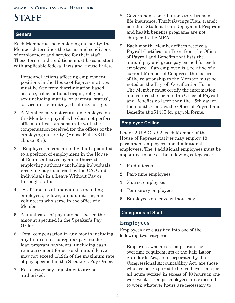# <span id="page-7-0"></span>STAFF

#### **General**

Each Member is the employing authority; the Member determines the terms and conditions of employment and service for their staff. These terms and conditions must be consistent with applicable federal laws and House Rules.

- 1. Personnel actions affecting employment positions in the House of Representatives must be free from discrimination based on race, color, national origin, religion, sex (including marital or parental status), service in the military, disability, or age.
- 2. A Member may not retain an employee on the Member's payroll who does not perform official duties commensurate with the compensation received for the offices of the employing authority. (House Rule XXIII, clause 8(a)).
- 3. "Employee" means an individual appointed to a position of employment in the House of Representatives by an authorized employing authority including individuals receiving pay disbursed by the CAO and individuals in a Leave Without Pay or furlough status.
- 4. "Staff" means all individuals including employees, fellows, unpaid interns, and volunteers who serve in the office of a Member.
- 5. Annual rates of pay may not exceed the amount specified in the Speaker's Pay Order.
- 6. Total compensation in any month including any lump sum and regular pay, student loan program payments, (including cash reimbursement for accrued annual leave) may not exceed 1/12th of the maximum rate of pay specified in the Speaker's Pay Order.
- 7. Retroactive pay adjustments are not authorized.
- 8. Government contributions to retirement, life insurance, Thrift Savings Plan, transit benefits, Student Loan Repayment Program and health benefits programs are not charged to the MRA.
- 9. Each month, Member offices receive a Payroll Certification Form from the Office of Payroll and Benefits that lists the annual pay and gross pay earned for each employee. If an employee is a relative of a current Member of Congress, the nature of the relationship to the Member must be noted on the Payroll Certification Form. The Member must certify the information and return the form to the Office of Payroll and Benefits no later than the 15th day of the month. Contact the Office of Payroll and Benefits at x51435 for payroll forms.

#### **Employee Ceiling**

Under 2 U.S.C. § 92, each Member of the House of Representatives may employ 18 permanent employees and 4 additional employees. The 4 additional employees must be appointed to one of the following categories:

- 1. Paid interns
- 2. Part-time employees
- 3. Shared employees
- 4. Temporary employees
- 5. Employees on leave without pay

## **Categories of Staff**

## **Employees**

Employees are classified into one of the following two categories:

1. Employees who are Exempt from the overtime requirements of the Fair Labor Standards Act, as incorporated by the Congressional Accountability Act, are those who are not required to be paid overtime for all hours worked in excess of 40 hours in one workweek. Exempt employees are expected to work whatever hours are necessary to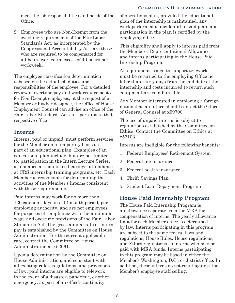#### **Committee on House Administration**

<span id="page-8-0"></span>meet the job responsibilities and needs of the Office.

2. Employees who are Non-Exempt from the overtime requirements of the Fair Labor Standards Act, as incorporated by the Congressional Accountability Act, are those who are required to be compensated for all hours worked in excess of 40 hours per workweek.

The employee classification determination is based on the actual job duties and responsibilities of the employee. For a detailed review of overtime pay and work requirements for Non-Exempt employees, at the request of a Member or his/her designee, the Office of House Employment Counsel can advise an office of the Fair Labor Standards Act as it pertains to that respective office

## **Interns**

Interns, paid or unpaid, must perform services for the Member on a temporary basis as part of an educational plan. Examples of an educational plan include, but are not limited to, participation in the Intern Lecture Series, attendance at committee hearings, attendance at CRS internship training programs, etc. Each Member is responsible for determining the activities of the Member's interns consistent with these requirements.

Paid interns may work for no more than 120 calendar days in a 12-month period, per employing authority, and are not employees for purposes of compliance with the minimum wage and overtime provisions of the Fair Labor Standards Act. The gross annual rate of intern pay is established by the Committee on House Administration. For the current applicable rate, contact the Committee on House Administration at x52061.

Upon a determination by the Committee on House Administration, and consistent with all existing rules, regulations, and provisions of law, paid interns are eligible to telework in the event of a disaster, pandemic, or other emergency, as part of an office's continuity

of operations plan, provided the educational plan of the internship is maintained, any work performed is incidental to said plan, and participation in the plan is certified by the employing office.

This eligibility shall apply to interns paid from the Members' Representational Allowance and interns participating in the House Paid Internship Program.

All equipment issued to support telework must be returned to the employing Office no later than thirty days from the end date of the internship and costs incurred to return such equipment are reimbursable.

Any Member interested in employing a foreign national as an intern should contact the Office of General Counsel at x59700.

The use of unpaid interns is subject to regulations established by the Committee on Ethics. Contact the Committee on Ethics at x57103.

Interns are ineligible for the following benefits:

- 1. Federal Employees' Retirement System
- 2. Federal life insurance
- 3. Federal health insurance
- 4. Thrift Savings Plan
- 5. Student Loan Repayment Program

# **House Paid Internship Program**

The House Paid Internship Program is an allowance separate from the MRA for compensation of interns. The yearly allowance limit for each Member office is determined by law. Interns participating in this program are subject to the same federal laws and regulations, House Rules, House regulations, and Ethics regulations as interns who may be paid with MRA funds. Interns participating in this program may be based in either the Member's Washington, D.C., or district office. In addition, these interns do not count against the Member's employee staff ceiling.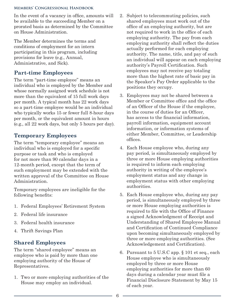<span id="page-9-0"></span>In the event of a vacancy in office, amounts will be available to the succeeding Member on a prorated basis as determined by the Committee on House Administration.

The Member determines the terms and conditions of employment for an intern participating in this program, including provisions for leave (e.g., Annual, Administrative, and Sick).

# **Part-time Employees**

The term "part-time employee" means an individual who is employed by the Member and whose normally assigned work schedule is not more than the equivalent of 15 full work days per month. A typical month has 22 work days so a part-time employee would be an individual who typically works 15 or fewer full 8-hour days per month, or the equivalent amount in hours (e.g., all 22 work days, but only 5 hours per day).

# **Temporary Employees**

The term "temporary employee" means an individual who is employed for a specific purpose or task and who is employed for not more than 90 calendar days in a 12-month period, except that the term of such employment may be extended with the written approval of the Committee on House Administration.

Temporary employees are ineligible for the following benefits:

- 1. Federal Employees' Retirement System
- 2. Federal life insurance
- 3. Federal health insurance
- 4. Thrift Savings Plan

# **Shared Employees**

The term "shared employee" means an employee who is paid by more than one employing authority of the House of Representatives.

1. Two or more employing authorities of the House may employ an individual.

- 2. Subject to telecommuting policies, such shared employees must work out of the office of an employing authority, but are not required to work in the office of each employing authority. The pay from each employing authority shall reflect the duties actually performed for each employing authority. The name, title, and pay of such an individual will appear on each employing authority's Payroll Certification. Such employees may not receive pay totaling more than the highest rate of basic pay in the Speaker's Pay Order applicable to the positions they occupy.
- 3. Employees may not be shared between a Member or Committee office and the office of an Officer of the House if the employee, in the course of duties for an Officer, has access to the financial information, payroll information, equipment account information, or information systems of either Member, Committee, or Leadership offices.
- 4. Each House employee who, during any pay period, is simultaneously employed by three or more House employing authorities is required to inform each employing authority in writing of the employee's employment status and any change in employment status with other employing authorities.
- 5. Each House employee who, during any pay period, is simultaneously employed by three or more House employing authorities is required to file with the Office of Finance a signed Acknowledgment of Receipt and Understanding of Shared Employee Manual and Certification of Continued Compliance upon becoming simultaneously employed by three or more employing authorities. (See Acknowledgement and Certification).
- 6. Pursuant to 5 U.S.C app. § 101 et seq., each House employee who is simultaneously employed by three or more House employing authorities for more than 60 days during a calendar year must file a Financial Disclosure Statement by May 15 of each year.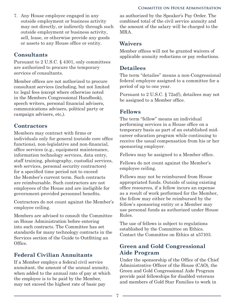<span id="page-10-0"></span>7. Any House employee engaged in any outside employment or business activity may not directly, or indirectly through such outside employment or business activity, sell, lease, or otherwise provide any goods or assets to any House office or entity.

# **Consultants**

Pursuant to 2 U.S.C. § 4301, only committees are authorized to procure the temporary services of consultants.

Member offices are not authorized to procure consultant services (including, but not limited to: legal fees (except where otherwise noted in the Members Congressional Handbook), speech writers, personal financial advisers, communications advisers, political party or campaign advisers, etc,).

# **Contractors**

Members may contract with firms or individuals only for general (outside core office functions), non-legislative and non-financial, office services (e.g., equipment maintenance, information technology services, data entry, staff training, photography, custodial services, web services, personal security contractors) for a specified time period not to exceed the Member's current term. Such contracts are reimbursable. Such contractors are not employees of the House and are ineligible for government-provided personnel benefits.

Contractors do not count against the Member's employee ceiling.

Members are advised to consult the Committee on House Administration before entering into such contracts. The Committee has set standards for many technology contracts in the Services section of the Guide to Outfitting an Office.

# **Federal Civilian Annuitants**

If a Member employs a federal civil service annuitant, the amount of the annual annuity, when added to the annual rate of pay at which the employee is to be paid by the Member, may not exceed the highest rate of basic pay

as authorized by the Speaker's Pay Order. The combined total of the civil service annuity and the amount of the salary will be charged to the MRA.

# **Waivers**

Member offices will not be granted waivers of applicable annuity reductions or pay reductions.

# **Detailees**

The term "detailee" means a non-Congressional federal employee assigned to a committee for a period of up to one year.

Pursuant to 2 U.S.C. § 72a(f), detailees may not be assigned to a Member office.

# **Fellows**

The term "fellow" means an individual performing services in a House office on a temporary basis as part of an established midcareer education program while continuing to receive the usual compensation from his or her sponsoring employer.

Fellows may be assigned to a Member office.

Fellows do not count against the Member's employee ceiling.

Fellows may not be reimbursed from House appropriated funds. Outside of using existing office resources, if a fellow incurs an expense as a result of work performed for the Member, the fellow may either be reimbursed by the fellow's sponsoring entity or a Member may use personal funds as authorized under House Rules.

The use of fellows is subject to regulations established by the Committee on Ethics. Contact the Committee on Ethics at x57103.

# **Green and Gold Congressional Aide Program**

Under the sponsorship of the Office of the Chief Administrative Officer of the House (CAO), the Green and Gold Congressional Aide Program provide paid fellowships for disabled veterans and members of Gold Star Families to work in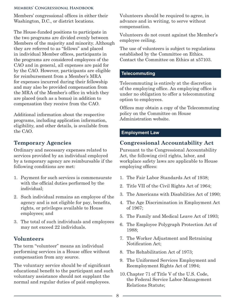<span id="page-11-0"></span>Members' congressional offices in either their Washington, D.C., or district locations.

The House-funded positions to participate in the two programs are divided evenly between Members of the majority and minority. Although they are referred to as "fellows" and placed in individual Member offices, participants in the programs are considered employees of the CAO and in general, all expenses are paid for by the CAO. However, participants are eligible for reimbursement from a Member's MRA for expenses incurred during their fellowship and may also be provided compensation from the MRA of the Member's office in which they are placed (such as a bonus) in addition to compensation they receive from the CAO.

Additional information about the respective programs, including application information, eligibility, and other details, is available from the CAO.

# **Temporary Agencies**

Ordinary and necessary expenses related to services provided by an individual employed by a temporary agency are reimbursable if the following conditions are met:

- 1. Payment for such services is commensurate with the official duties performed by the individual;
- 2. Such individual remains an employee of the agency and is not eligible for pay, benefits, rights, or privileges available to House employees; and
- 3. The total of such individuals and employees may not exceed 22 individuals.

# **Volunteers**

The term "volunteer" means an individual performing services in a House office without compensation from any source.

The voluntary service should be of significant educational benefit to the participant and such voluntary assistance should not supplant the normal and regular duties of paid employees.

Volunteers should be required to agree, in advance and in writing, to serve without compensation.

Volunteers do not count against the Member's employee ceiling.

The use of volunteers is subject to regulations established by the Committee on Ethics. Contact the Committee on Ethics at x57103.

# **Telecommuting**

Telecommuting is entirely at the discretion of the employing office. An employing office is under no obligation to offer a telecommuting option to employees.

Offices may obtain a copy of the Telecommuting policy on the Committee on House Administration website.

### **Employment Law**

# **Congressional Accountability Act**

Pursuant to the Congressional Accountability Act, the following civil rights, labor, and workplace safety laws are applicable to House employing offices:

- 1. The Fair Labor Standards Act of 1938;
- 2. Title VII of the Civil Rights Act of 1964;
- 3. The Americans with Disabilities Act of 1990;
- 4. The Age Discrimination in Employment Act of 1967;
- 5. The Family and Medical Leave Act of 1993;
- 6. The Employee Polygraph Protection Act of 1988;
- 7. The Worker Adjustment and Retraining Notification Act;
- 8. The Rehabilitation Act of 1973;
- 9. The Uniformed Services Employment and Reemployment Rights Act of 1994;
- 10.Chapter 71 of Title V of the U.S. Code, the Federal Service Labor-Management Relations Statute;

8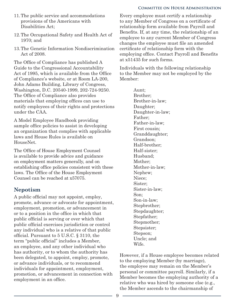#### **Committee on House Administration**

- <span id="page-12-0"></span>11.The public service and accommodations provisions of the Americans with Disabilities Act;
- 12.The Occupational Safety and Health Act of 1970; and
- 13.The Genetic Information Nondiscrimination Act of 2008.

The Office of Compliance has published A Guide to the Congressional Accountability Act of 1995, which is available from the Office of Compliance's website, or at Room LA-200, John Adams Building, Library of Congress, Washington, D.C. 20540-1999, 202-724-9250. The Office of Compliance also provides materials that employing offices can use to notify employees of their rights and protections under the CAA.

A Model Employee Handbook providing sample office policies to assist in developing an organization that complies with applicable laws and House Rules is available on HouseNet.

The Office of House Employment Counsel is available to provide advice and guidance on employment matters generally, and on establishing office policies consistent with these laws. The Office of the House Employment Counsel can be reached at x57075.

# **Nepotism**

A public official may not appoint, employ, promote, advance or advocate for appointment, employment, promotion, or advancement in or to a position in the office in which that public official is serving or over which that public official exercises jurisdiction or control any individual who is a relative of that public official. Pursuant to 5 U.S.C. § 3110, the term "public official" includes a Member, an employee, and any other individual who has authority, or to whom the authority has been delegated, to appoint, employ, promote, or advance individuals, or to recommend individuals for appointment, employment, promotion, or advancement in connection with employment in an office.

Every employee must certify a relationship to any Member of Congress on a certificate of relationship form available from Payroll and Benefits. If, at any time, the relationship of an employee to any current Member of Congress changes the employee must file an amended certificate of relationship form with the employing office. Contact Payroll and Benefits at x51435 for such forms.

Individuals with the following relationship to the Member may not be employed by the Member:

> Aunt; Brother; Brother-in-law; Daughter; Daughter-in-law; Father; Father-in-law; First cousin; Granddaughter; Grandson; Half-brother; Half-sister; Husband; Mother; Mother-in-law; Nephew; Niece; Sister; Sister-in-law; Son; Son-in-law; Stepbrother; Stepdaughter; Stepfather; Stepmother; Stepsister; Stepson; Uncle; and Wife.

However, if a House employee becomes related to the employing Member (by marriage), the employee may remain on the Member's personal or committee payroll. Similarly, if a Member becomes the employing authority of a relative who was hired by someone else (e.g., the Member ascends to the chairmanship of

9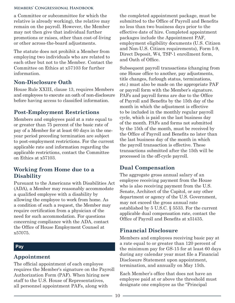<span id="page-13-0"></span>a Committee or subcommittee for which the relative is already working), the relative may remain on the payroll. However, the Member may not then give that individual further promotions or raises, other than cost-of-living or other across-the-board adjustments.

The statute does not prohibit a Member from employing two individuals who are related to each other but not to the Member. Contact the Committee on Ethics at x57103 for further information.

# **Non-Disclosure Oath**

House Rule XXIII, clause 13, requires Members and employees to execute an oath of non-disclosure before having access to classified information.

# **Post-Employment Restrictions**

Members and employees paid at a rate equal to or greater than 75 percent of the basic rate of pay of a Member for at least 60 days in the oneyear period preceding termination are subject to post-employment restrictions. For the current applicable rate and information regarding the applicable restrictions, contact the Committee on Ethics at x57103.

# **Working from Home due to a Disability**

Pursuant to the Americans with Disabilities Act (ADA), a Member may reasonably accommodate a qualified employee with a disability by allowing the employee to work from home. As a condition of such a request, the Member may require certification from a physician of the need for such accommodation. For questions concerning compliance with the ADA, contact the Office of House Employment Counsel at x57075.

# **Pay**

# **Appointment**

The official appointment of each employee requires the Member's signature on the Payroll Authorization Form (PAF). When hiring new staff to the U.S. House of Representatives, all personnel appointment PAFs, along with

the completed appointment package, must be submitted to the Office of Payroll and Benefits no less than two business days prior to the effective date of hire. Completed appointment packages include the Appointment PAF, employment eligibility documents (U.S. Citizen and Non-U.S. Citizen requirements), Form I-9, Direct Deposit, W4, TSP-1 enrollment form, and Oath of Office.

Subsequent payroll transactions (changing from one House office to another, pay adjustments, title changes, furlough status, terminations, etc.) must also be made on the appropriate PAF or payroll form with the Member's signature. PAFs and payroll forms are due to the Office of Payroll and Benefits by the 15th day of the month in which the adjustment is effective to be included in the monthly regular payroll cycle, which is paid on the last business day of the month. PAFs and forms not submitted by the 15th of the month, must be received by the Office of Payroll and Benefits no later than the last business day of the month in which the payroll transaction is effective. These transactions submitted after the 15th will be processed in the off-cycle payroll.

# **Dual Compensation**

The aggregate gross annual salary of an employee receiving payment from the House who is also receiving payment from the U.S. Senate, Architect of the Capitol, or any other department or agency of the U.S. Government, may not exceed the gross annual rate established by 5 U.S.C. § 5533. For the current applicable dual compensation rate, contact the Office of Payroll and Benefits at x51435.

# **Financial Disclosure**

Members and employees receiving basic pay at a rate equal to or greater than 120 percent of the minimum pay for GS-15 for at least 60 days during any calendar year must file a Financial Disclosure Statement upon appointment, termination, and annually on May 15th.

Each Member's office that does not have an employee paid at or above the threshold must designate one employee as the "Principal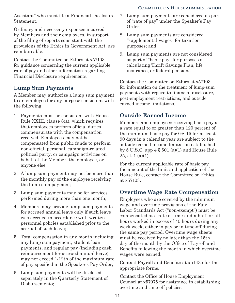<span id="page-14-0"></span>Assistant" who must file a Financial Disclosure Statement.

Ordinary and necessary expenses incurred by Members and their employees, in support of the filing of reports consistent with the provisions of the Ethics in Government Act, are reimbursable.

Contact the Committee on Ethics at x57103 for guidance concerning the current applicable rate of pay and other information regarding Financial Disclosure requirements.

# **Lump Sum Payments**

A Member may authorize a lump sum payment to an employee for any purpose consistent with the following:

- 1. Payments must be consistent with House Rule XXIII, clause 8(a), which requires that employees perform official duties commensurate with the compensation received. Employees may not be compensated from public funds to perform non-official, personal, campaign-related political party, or campaign activities on behalf of the Member, the employee, or anyone else;
- 2. A lump sum payment may not be more than the monthly pay of the employee receiving the lump sum payment;
- 3. Lump sum payments may be for services performed during more than one month;
- 4. Members may provide lump sum payments for accrued annual leave only if such leave was accrued in accordance with written personnel policies established prior to the accrual of such leave;
- 5. Total compensation in any month including any lump sum payment, student loan payments, and regular pay (including cash reimbursement for accrued annual leave) may not exceed 1/12th of the maximum rate of pay specified in the Speaker's Pay Order;
- 6. Lump sum payments will be disclosed separately in the Quarterly Statement of Disbursements;
- 7. Lump sum payments are considered as part of "rate of pay" under the Speaker's Pay Order;
- 8. Lump sum payments are considered "supplemental wages" for taxation purposes; and
- 9. Lump sum payments are not considered as part of "basic pay" for purposes of calculating Thrift Savings Plan, life insurance, or federal pensions.

Contact the Committee on Ethics at x57103 for information on the treatment of lump-sum payments with regard to financial disclosure, post-employment restrictions, and outside earned income limitations.

# **Outside Earned Income**

Members and employees receiving basic pay at a rate equal to or greater than 120 percent of the minimum basic pay for GS-15 for at least 90 days in a calendar year are subject to the outside earned income limitation established by 5 U.S.C. app  $4 \S 501$  (a)(1) and House Rule  $25$ , cl. 1 (a)(1).

For the current applicable rate of basic pay, the amount of the limit and application of the House Rule, contact the Committee on Ethics, at x57103.

# **Overtime Wage Rate Compensation**

Employees who are covered by the minimum wage and overtime provisions of the Fair Labor Standards Act ("non-exempt") must be compensated at a rate of time-and-a half for all hours worked in excess of 40 hours during any work week, either in pay or in time-off during the same pay period. Overtime wage sheets must be received by no later than the 15th day of the month by the Office of Payroll and Benefits following the month in which overtime wages were earned.

Contact Payroll and Benefits at x51435 for the appropriate forms.

Contact the Office of House Employment Counsel at x57075 for assistance in establishing overtime and time-off policies.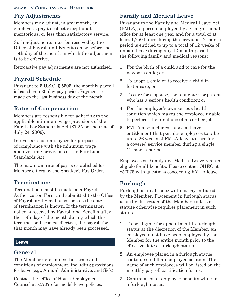# <span id="page-15-0"></span>**Pay Adjustments**

Members may adjust, in any month, an employee's pay to reflect exceptional, meritorious, or less than satisfactory service.

Such adjustments must be received by the Office of Payroll and Benefits on or before the 15th day of the month in which the adjustment is to be effective.

Retroactive pay adjustments are not authorized.

# **Payroll Schedule**

Pursuant to 5 U.S.C. § 5505, the monthly payroll is based on a 30-day pay period. Payment is made on the last business day of the month.

# **Rates of Compensation**

Members are responsible for adhering to the applicable minimum wage provisions of the Fair Labor Standards Act (\$7.25 per hour as of July 24, 2009).

Interns are not employees for purposes of compliance with the minimum wage and overtime provisions of the Fair Labor Standards Act.

The maximum rate of pay is established for Member offices by the Speaker's Pay Order.

# **Terminations**

Terminations must be made on a Payroll Authorization Form and submitted to the Office of Payroll and Benefits as soon as the date of termination is known. If the termination notice is received by Payroll and Benefits after the 15th day of the month during which the termination becomes effective, the payroll for that month may have already been processed.

#### **Leave**

## **General**

The Member determines the terms and conditions of employment, including provisions for leave (e.g., Annual, Administrative, and Sick).

Contact the Office of House Employment Counsel at x57075 for model leave policies.

# **Family and Medical Leave**

Pursuant to the Family and Medical Leave Act (FMLA), a person employed by a Congressional office for at least one year and for a total of at least 1,250 hours during the previous 12-month period is entitled to up to a total of 12 weeks of unpaid leave during any 12-month period for the following family and medical reasons:

- 1. For the birth of a child and to care for the newborn child; or
- 2. To adopt a child or to receive a child in foster care; or
- 3. To care for a spouse, son, daughter, or parent who has a serious health condition; or
- 4. For the employee's own serious health condition which makes the employee unable to perform the functions of his or her job.
- 5. FMLA also includes a special leave entitlement that permits employees to take up to 26 weeks of FMLA leave to care for a covered service member during a single 12-month period.

Employees on Family and Medical Leave remain eligible for all benefits. Please contact OHEC at x57075 with questions concerning FMLA leave.

# **Furlough**

Furlough is an absence without pay initiated by the Member. Placement in furlough status is at the discretion of the Member, unless a statute otherwise requires placement in such status.

- 1. To be eligible for appointment to furlough status at the discretion of the Member, an employee must have been employed by the Member for the entire month prior to the effective date of furlough status.
- 2. An employee placed in a furlough status continues to fill an employee position. The name of such employees will be listed on the monthly payroll certification forms.
- 3. Continuation of employee benefits while in a furlough status:

 $-12$   $-$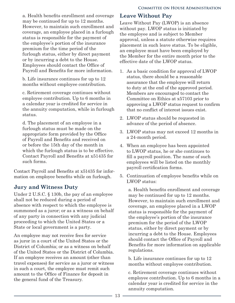<span id="page-16-0"></span>a. Health benefits enrollment and coverage may be continued for up to 12 months. However, to maintain such enrollment and coverage, an employee placed in a furlough status is responsible for the payment of the employee's portion of the insurance premium for the time period of the furlough status, either by direct payment or by incurring a debt to the House. Employees should contact the Office of Payroll and Benefits for more information.

b. Life insurance continues for up to 12 months without employee contribution.

c. Retirement coverage continues without employee contribution. Up to 6 months in a calendar year is credited for service in the annuity computation, while in furlough status.

d. The placement of an employee in a furlough status must be made on the appropriate form provided by the Office of Payroll and Benefits and received on or before the 15th day of the month in which the furlough status is to be effective. Contact Payroll and Benefits at x51435 for such forms.

Contact Payroll and Benefits at x51435 for information on employee benefits while on furlough.

# **Jury and Witness Duty**

Under 2 U.S.C. § 130b, the pay of an employee shall not be reduced during a period of absence with respect to which the employee is summoned as a juror; or as a witness on behalf of any party in connection with any judicial proceeding to which the United States or a State or local government is a party.

An employee may not receive fees for service as juror in a court of the United States or the District of Columbia; or as a witness on behalf of the United States or the District of Columbia. If an employee receives an amount (other than travel expenses) for service as a juror or witness in such a court, the employee must remit such amount to the Office of Finance for deposit in the general fund of the Treasury.

# **Leave Without Pay**

Leave Without Pay (LWOP) is an absence without pay. LWOP status is initiated by the employee and is subject to Member approval, unless a statute otherwise requires placement in such leave status. To be eligible, an employee must have been employed by the Member for the entire month prior to the effective date of the LWOP status.

- 1. As a basic condition for approval of LWOP status, there should be a reasonable assurance that the employee will return to duty at the end of the approved period. Members are encouraged to contact the Committee on Ethics at x57103 prior to approving a LWOP status request to confirm that no conflict of interest issues exist.
- 2. LWOP status should be requested in advance of the period of absence.
- 3. LWOP status may not exceed 12 months in a 24-month period.
- 4. When an employee has been appointed to LWOP status, he or she continues to fill a payroll position. The name of such employees will be listed on the monthly payroll certification forms.
- 5. Continuation of employee benefits while on LWOP status:

a. Health benefits enrollment and coverage may be continued for up to 12 months. However, to maintain such enrollment and coverage, an employee placed in a LWOP status is responsible for the payment of the employee's portion of the insurance premium for the period of the LWOP status, either by direct payment or by incurring a debt to the House. Employees should contact the Office of Payroll and Benefits for more information on applicable regulations.

b. Life insurance continues for up to 12 months without employee contribution.

c. Retirement coverage continues without employee contribution. Up to 6 months in a calendar year is credited for service in the annuity computation.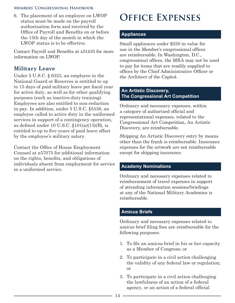<span id="page-17-0"></span>6. The placement of an employee on LWOP status must be made on the payroll authorization form and received by the Office of Payroll and Benefits on or before the 15th day of the month in which the LWOP status is to be effective.

Contact Payroll and Benefits at x51435 for more information on LWOP.

# **Military Leave**

Under 5 U.S.C. § 6323, an employee in the National Guard or Reserves is entitled to up to 15 days of paid military leave per fiscal year for active duty, as well as for other qualifying purposes (such as inactive-duty training). Employees are also entitled to non-reduction in pay. In addition, under 5 U.S.C. §5538, an employee called to active duty in the uniformed services in support of a contingency operation, as defined under 10 U.S.C.  $$101(a)(13)(B)$ , is entitled to up to five years of paid leave offset by the employee's military salary.

Contact the Office of House Employment Counsel at x57075 for additional information on the rights, benefits, and obligations of individuals absent from employment for service in a uniformed service.

# **Office Expenses**

#### **Appliances**

Small appliances under \$250 in value for use in the Member's congressional offices are reimbursable. In Washington, D.C., congressional offices, the MRA may not be used to pay for items that are readily supplied to offices by the Chief Administrative Officer or the Architect of the Capitol.

#### **An Artistic Discovery, The Congressional Art Competition**

Ordinary and necessary expenses, within a category of authorized official and representational expenses, related to the Congressional Art Competition, An Artistic Discovery, are reimbursable.

Shipping An Artistic Discovery entry by means other than the frank is reimbursable. Insurance expenses for the artwork are not reimbursable except for shipping insurance.

#### **Academy Nominations**

Ordinary and necessary expenses related to reimbursement of travel expenses in support of attending information sessions/briefings at any of the National Military Academies is reimbursable.

#### **Amicus Briefs**

Ordinary and necessary expenses related to amicus brief filing fees are reimbursable for the following purposes:

- 1. To file an amicus brief in his or her capacity as a Member of Congress; or
- 2. To participate in a civil action challenging the validity of any federal law or regulation; or
- 3. To participate in a civil action challenging the lawfulness of an action of a federal agency, or an action of a federal official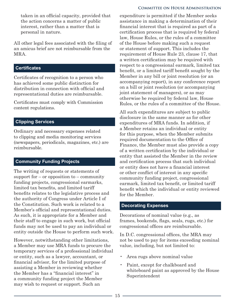<span id="page-18-0"></span>taken in an official capacity, provided that the action concerns a matter of public interest, rather than a matter that is personal in nature.

All other legal fees associated with the filing of an amicus brief are not reimbursable from the MRA.

#### **Certificates**

Certificates of recognition to a person who has achieved some public distinction for distribution in connection with official and representational duties are reimbursable.

Certificates must comply with Commission content regulations.

#### **Clipping Services**

Ordinary and necessary expenses related to clipping and media monitoring services (newspapers, periodicals, magazines, etc.) are reimbursable.

#### **Community Funding Projects**

The writing of requests or statements of support for  $-$  or opposition to  $-$  community funding projects, congressional earmarks, limited tax benefits, and limited tariff benefits relates to the legislative process and the authority of Congress under Article I of the Constitution. Such work is related to a Member's official and representational duties. As such, it is appropriate for a Member and their staff to engage in such work, but official funds may not be used to pay an individual or entity outside the House to perform such work.

However, notwithstanding other limitations, a Member may use MRA funds to procure the temporary services of a professional individual or entity, such as a lawyer, accountant, or financial advisor, for the limited purpose of assisting a Member in reviewing whether the Member has a "financial interest" in a community funding project the Member may wish to request or support. Such an

#### **Committee on House Administration**

expenditure is permitted if the Member seeks assistance in making a determination of their financial interest that is required as part of a certification process that is required by federal law, House Rules, or the rules of a committee of the House before making such a request or statement of support. This includes the requirement of House Rule 23, clause 17, that a written certification may be required with respect to a congressional earmark, limited tax benefit, or a limited tariff benefit sought by the Member in any bill or joint resolution (or an accompanying report), in any conference report on a bill or joint resolution (or accompanying joint statement of managers), or as may otherwise be required by federal law, House Rules, or the rules of a committee of the House.

All such expenditures are subject to public disclosure in the same manner as for other expenditures of MRA funds. In addition, if a Member retains an individual or entity for this purpose, when the Member submits required documentation to the Office of Finance, the Member must also provide a copy of a written certification by the individual or entity that assisted the Member in the review and certification process that such individual or entity does not have a financial interest or other conflict of interest in any specific community funding project, congressional earmark, limited tax benefit, or limited tariff benefit which the individual or entity reviewed for the Member.

#### **Decorating Expenses**

Decorations of nominal value (e.g., as frames, bookends, flags, seals, rugs, etc.) for congressional offices are reimbursable.

In D.C. congressional offices, the MRA may not be used to pay for items exceeding nominal value, including, but not limited to:

- Area rugs above nominal value
- Paint, except for chalkboard and whiteboard paint as approved by the House Superintendent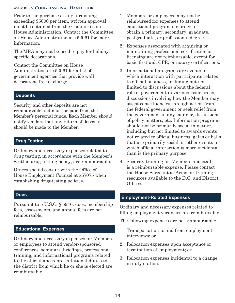<span id="page-19-0"></span>Prior to the purchase of any furnishing exceeding \$5000 per item, written approval must be obtained from the Committee on House Administration. Contact the Committee on House Administration at x52061 for more information.

The MRA may not be used to pay for holidayspecific decorations.

Contact the Committee on House Administration at x52061 for a list of government agencies that provide wall decorations free of charge.

#### **Deposits**

Security and other deposits are not reimbursable and must be paid from the Member's personal funds. Each Member should notify vendors that any return of deposits should be made to the Member.

#### **Drug Testing**

Ordinary and necessary expenses related to drug testing, in accordance with the Member's written drug-testing policy, are reimbursable.

Offices should consult with the Office of House Employment Counsel at x57075 when establishing drug-testing policies.

#### **Dues**

Pursuant to 5 U.S.C. § 5946, dues, membership fees, assessments, and annual fees are not reimbursable.

#### **Educational Expenses**

Ordinary and necessary expenses for Members or employees to attend vendor-sponsored conferences, seminars, briefings, professional training, and informational programs related to the official and representational duties to the district from which he or she is elected are reimbursable.

- 1. Members or employees may not be reimbursed for expenses to attend educational programs in order to obtain a primary, secondary, graduate, postgraduate, or professional degree.
- 2. Expenses associated with acquiring or maintaining professional certification or licensing are not reimbursable, except for basic first-aid, CPR, or notary certifications.
- 3. Informational programs are events in which interaction with participants relates to official business, including but not limited to discussions about the federal role of government in various issue areas, discussions involving how the Member may assist constituencies through action from the federal government or seek relief from the government in any manner, discussions of policy matters, etc. Information programs should not be primarily social in nature, including but not limited to awards events not related to official business, galas or balls that are primarily social, or other events in which official interaction is more incidental than is the primary purpose.
- 4. Security training for Members and staff is a reimbursable expense. Please contact the House Sergeant at Arms for training resources available to the D.C. and District Offices.

## **Employment-Related Expenses**

Ordinary and necessary expenses related to filling employment vacancies are reimbursable.

The following expenses are not reimbursable:

- 1. Transportation to and from employment interviews; or
- 2. Relocation expenses upon acceptance or termination of employment; or
- 3. Relocation expenses incidental to a change in duty station.

- 16 -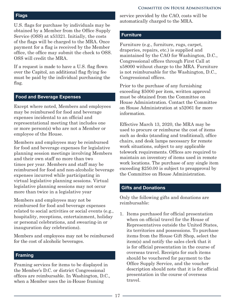#### **Committee on House Administration**

#### <span id="page-20-0"></span>**Flags**

U.S. flags for purchase by individuals may be obtained by a Member from the Office Supply Service (OSS) at x53321. Initially, the costs of the flags will be charged to the MRA. Once payment for a flag is received by the Member office, the office may submit the check to OSS. OSS will credit the MRA.

If a request is made to have a U.S. flag flown over the Capitol, an additional flag flying fee must be paid by the individual purchasing the flag.

#### **Food and Beverage Expenses**

Except where noted, Members and employees may be reimbursed for food and beverage expenses incidental to an official and representational meeting that includes one or more person(s) who are not a Member or employee of the House.

Members and employees may be reimbursed for food and beverage expenses for legislative planning session meetings involving Members and their own staff no more than two times per year. Members and staff may be reimbursed for food and non-alcoholic beverage expenses incurred while participating in virtual legislative planning sessions. Virtual legislative planning sessions may not occur more than twice in a legislative year

Members and employees may not be reimbursed for food and beverage expenses related to social activities or social events (e.g., hospitality, receptions, entertainment, holiday or personal celebrations, and swearing-in or inauguration day celebrations).

Members and employees may not be reimbursed for the cost of alcoholic beverages.

#### **Framing**

Framing services for items to be displayed in the Member's D.C. or district Congressional offices are reimbursable. In Washington, D.C., when a Member uses the in-House framing

service provided by the CAO, costs will be automatically charged to the MRA.

#### **Furniture**

Furniture (e.g., furniture, rugs, carpet, draperies, repairs, etc.) is supplied and maintained by the CAO for Washington, D.C., Congressional offices through First Call at x58000 without charge to the MRA. Furniture is not reimbursable for the Washington, D.C., Congressional offices.

Prior to the purchase of any furnishing exceeding \$5000 per item, written approval must be obtained from the Committee on House Administration. Contact the Committee on House Administration at x52061 for more information.

Effective March 13, 2020, the MRA may be used to procure or reimburse the cost of items such as desks (standing and traditional), office chairs, and desk lamps necessary for remote work situations, subject to any applicable telework requirements. Offices are required to maintain an inventory of items used in remote work locations. The purchase of any single item exceeding \$250.00 is subject to preapproval by the Committee on House Administration.

#### **Gifts and Donations**

Only the following gifts and donations are reimbursable:

1. Items purchased for official presentation when on official travel for the House of Representatives outside the United States, its territories and possessions. To purchase items from the House Gift Shop, select the item(s) and notify the sales clerk that it is for official presentation in the course of overseas travel. Receipts for such items should be vouchered for payment to the Office Supply Service, and the voucher description should note that it is for official presentation in the course of overseas travel.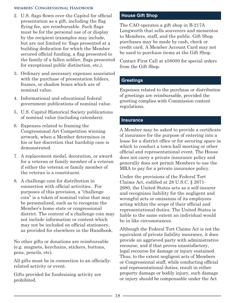- <span id="page-21-0"></span>2. U.S. flags flown over the Capitol for official presentation as a gift, including the flag flying fee, are reimbursable. Such flags must be for the personal use of or display by the recipient (examples may include, but are not limited to: flags presented at a building dedication for which the Member secured official funding, a flag presented to the family of a fallen soldier, flags presented for exceptional public distinction, etc,).
- 3. Ordinary and necessary expenses associated with the purchase of presentation folders, frames, or shadow boxes which are of nominal value.
- 4. Informational and educational federal government publications of nominal value.
- 5. U.S. Capitol Historical Society publications of nominal value (including calendars).
- 6. Expenses related to framing the Congressional Art Competition winning artwork, when a Member determines in his or her discretion that hardship case is demonstrated.
- 7. A replacement medal, decoration, or award for a veteran or family member of a veteran if either the veteran or family member of the veteran is a constituent.
- 8. A challenge coin for distribution in connection with official activities. For purposes of this provision, a "challenge coin" is a token of nominal value that may be personalized, such as to recognize the Member's home state or congressional district. The content of a challenge coin may not include information or content which may not be included on official stationery, as provided for elsewhere in the Handbook.

No other gifts or donations are reimbursable (e.g. magnets, keychains, stickers, buttons, pens, pencils, etc).

All gifts must be in connection to an officiallyrelated activity or event.

Gifts provided for fundraising activity are prohibited.

## **House Gift Shop**

The CAO operates a gift shop in B-217A Longworth that sells souvenirs and mementos to Members, staff, and the public. Gift Shop purchases may be made by cash, check or credit card. A Member Account Card may not be used to purchase items at the Gift Shop.

Contact First Call at x58000 for special orders from the Gift Shop.

#### **Greetings**

Expenses related to the purchase or distribution of greetings are reimbursable, provided the greeting complies with Commission content regulations.

#### **Insurance**

A Member may be asked to provide a certificate of insurance for the purpose of entering into a lease for a district office or for securing space in which to conduct a town-hall meeting or other official and representational event. The House does not carry a private insurance policy and generally does not permit Members to use the MRA to pay for a private insurance policy.

Under the provisions of the Federal Tort Claims Act, codified at 28 U.S.C. § 2671- 2680, the United States acts as a self-insurer and recognizes liability for the negligent and wrongful acts or omissions of its employees acting within the scope of their official and representational duties. The United States is liable to the same extent an individual would be in like circumstances.

Although the Federal Tort Claims Act is not the equivalent of private liability insurance, it does provide an aggrieved party with administrative recourse, and if that proves unsatisfactory, legal recourse for damage or injury sustained. Thus, to the extent negligent acts of Members or Congressional staff, while conducting official and representational duties, result in either property damage or bodily injury, such damage or injury should be compensable under the Act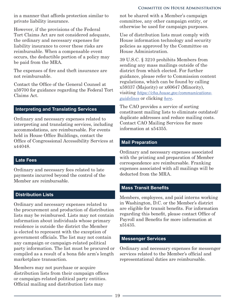#### **COMMITTEE ON HOUSE ADMINISTRATION**

<span id="page-22-0"></span>in a manner that affords protection similar to private liability insurance.

However, if the provisions of the Federal Tort Claims Act are not considered adequate, the ordinary and necessary expenses for liability insurance to cover these risks are reimbursable. When a compensable event occurs, the deductible portion of a policy may be paid from the MRA.

The expenses of fire and theft insurance are not reimbursable.

Contact the Office of the General Counsel at x59700 for guidance regarding the Federal Tort Claims Act.

### **Interpreting and Translating Services**

Ordinary and necessary expenses related to interpreting and translating services, including accommodations, are reimbursable. For events held in House Office Buildings, contact the Office of Congressional Accessibility Services at x44048.

#### **Late Fees**

Ordinary and necessary fees related to late payments incurred beyond the control of the Member are reimbursable.

#### **Distribution Lists**

Ordinary and necessary expenses related to the procurement and production of distribution lists may be reimbursed. Lists may not contain information about individuals whose primary residence is outside the district the Member is elected to represent with the exception of government officials. The list may not contain any campaign or campaign-related political party information. The list must be procured or compiled as a result of a bona fide arm's length marketplace transaction.

Members may not purchase or acquire distribution lists from their campaign offices or campaign-related political party entities. Official mailing and distribution lists may

not be shared with a Member's campaign committee, any other campaign entity, or otherwise be used for campaign purposes.

Use of distribution lists must comply with House information technology and security policies as approved by the Committee on House Administration.

39 U.S.C. § 3210 prohibits Members from sending any mass mailings outside of the district from which elected. For further guidance, please refer to Commission content regulations, which can be found by calling x59337 (Majority) or x60647 (Minority), visiting *https://cha.house.gov/communicationsguidelines* or clicking *here*.

The CAO provides a service of sorting constituent mailing lists to eliminate outdated/ duplicate addresses and reduce mailing costs. Contact CAO Mailing Services for more information at x54355.

#### **Mail Preparation**

Ordinary and necessary expenses associated with the printing and preparation of Member correspondence are reimbursable. Franking expenses associated with all mailings will be deducted from the MRA.

#### **Mass Transit Benefits**

Members, employees, and paid interns working in Washington, D.C. or the Member's district are eligible for transit benefits. For information regarding this benefit, please contact Office of Payroll and Benefits for more information at x51435.

#### **Messenger Services**

Ordinary and necessary expenses for messenger services related to the Member's official and representational duties are reimbursable.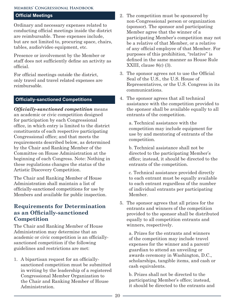#### <span id="page-23-0"></span>**Official Meetings**

Ordinary and necessary expenses related to conducting official meetings inside the district are reimbursable. These expenses include, but are not limited to, procuring space, chairs, tables, audio/video equipment, etc.

Presence or involvement by the Member or staff does not sufficiently define an activity as official.

For official meetings outside the district, only travel and travel related expenses are reimbursable.

#### **Officially-sanctioned Competitions**

*Officially-sanctioned competition* means an academic or civic competition designed for participation by each Congressional office, in which entry is limited to the district constituents of each respective participating Congressional office; and that meets the requirements described below, as determined by the Chair and Ranking Member of the Committee on House Administration at the beginning of each Congress. Note: Nothing in these regulations changes the status of the Artistic Discovery Competition.

The Chair and Ranking Member of House Administration shall maintain a list of officially-sanctioned competitions for use by Members and available for public inspection.

## **Requirements for Determination as an Officially-sanctioned Competition**

The Chair and Ranking Member of House Administration may determine that an academic or civic competition is an officiallysanctioned competition if the following guidelines and restrictions are met:

1. A bipartisan request for an officiallysanctioned competition must be submitted in writing by the leadership of a registered Congressional Member Organization to the Chair and Ranking Member of House Administration.

- 2. The competition must be sponsored by non-Congressional person or organization (sponsor). The sponsor and participating Member agree that the winner of a participating Member's competition may not be a relative of that Member, or a relative of any official employee of that Member. For purposes of this prohibition, "relative" is defined in the same manner as House Rule XXIII, clause 8(c) (3).
- 3. The sponsor agrees not to use the Official Seal of the U.S., the U.S. House of Representatives, or the U.S. Congress in its communications.
- 4. The sponsor agrees that all technical assistance with the competition provided to the sponsor shall be available equally to all entrants of the competition.

a. Technical assistance with the competition may include equipment for use by and mentoring of entrants of the competition.

b. Technical assistance shall not be directed to the participating Member's office; instead, it should be directed to the entrants of the competition.

c. Technical assistance provided directly to each entrant must be equally available to each entrant regardless of the number of individual entrants per participating Member.

5. The sponsor agrees that all prizes for the entrants and winners of the competition provided to the sponsor shall be distributed equally to all competition entrants and winners, respectively.

a. Prizes for the entrants and winners of the competition may include travel expenses for the winner and a parent/ guardian to attend an unveiling or awards ceremony in Washington, D.C., scholarships, tangible items, and cash or cash equivalents.

b. Prizes shall not be directed to the participating Member's office; instead, it should be directed to the entrants and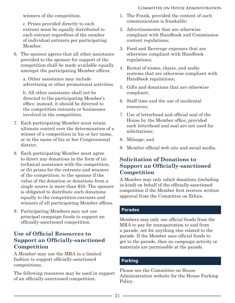#### **Committee on House Administration**

<span id="page-24-0"></span>winners of the competition.

c. Prizes provided directly to each entrant must be equally distributed to each entrant regardless of the number of individual entrants per participating Member.

6. The sponsor agrees that all other assistance provided to the sponsor for support of the competition shall be made available equally amongst the participating Member offices.

a. Other assistance may include advertising or other promotional activities.

b. All other assistance shall not be directed to the participating Member's office; instead, it should be directed to the competition entrants or businesses involved in the competition.

- 7. Each participating Member must retain ultimate control over the determination of a winner of a competition in his or her name, or in the name of his or her Congressional district.
- 8. Each participating Member must agree to direct any donations in the form of (a) technical assistance with the competition, or (b) prizes for the entrants and winners of the competition, to the sponsor if the value of the donation or donations from a single source is more than \$50. The sponsor is obligated to distribute such donations equally to the competition entrants and winners of all participating Member offices.
- 9. Participating Members may not use principal campaign funds to support an officially-sanctioned competition.

# **Use of Official Resources to Support an Officially-sanctioned Competition**

A Member may use the MRA in a limited fashion to support officially-sanctioned competitions.

The following resources may be used in support of an officially-sanctioned competition:

- 1. The Frank, provided the content of such communication is frankable;
- 2. Advertisements that are otherwise compliant with Handbook and Commission content regulations;
- 3. Food and Beverage expenses that are otherwise compliant with Handbook regulations;
- 4. Rental of rooms, chairs, and audio systems that are otherwise compliant with Handbook regulations;
- 5. Gifts and donations that are otherwise compliant;
- 6. Staff time and the use of incidental resources;
- 7. Use of letterhead and official seal of the House by the Member office, provided such letterhead and seal are not used for solicitations;
- 8. Mileage; and
- 9. Member official web site and social media.

# **Solicitation of Donations to Support an Officially-sanctioned Competition**

A Member may only solicit donations (including in-kind) on behalf of the officially-sanctioned competition if the Member first receives written approval from the Committee on Ethics.

## **Parades**

Members may only use official funds from the MRA to pay for transportation to and from a parade, not for anything else related to the parade. If the Member uses official funds to get to the parade, then no campaign activity or materials are permissible at the parade.

## **Parking**

Please see the Committee on House Administration website for the House Parking Policy.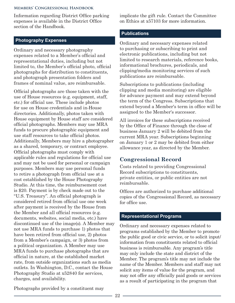<span id="page-25-0"></span>Information regarding District Office parking expenses is available in the District Office section of the Handbook.

## **Photography Expenses**

Ordinary and necessary photography expenses related to a Member's official and representational duties, including but not limited to, the Member's official photo, official photographs for distribution to constituents, and photograph presentation folders and frames of nominal value, are reimbursable.

Official photographs are those taken with the use of House resources (e.g. equipment, staff, etc.) for official use. These include photos for use on House credentials and in-House directories. Additionally, photos taken with House equipment by House staff are considered official photographs. Members may use MRA funds to procure photographic equipment and use staff resources to take official photos. Additionally, Members may hire a photographer as a shared, temporary, or contract employee. Official photographs must comply with applicable rules and regulations for official use and may not be used for personal or campaign purposes. Members may use personal funds to retire a photograph from official use at a cost established by the House Photography Studio. At this time, the reimbursement cost is \$20. Payment is by check made out to the "U.S. Treasury". An official photograph is considered retired from official use one week after payment is received by the House from the Member and all official resources (e.g. documents, websites, social media, etc.) have discontinued use of the image(s). A Member may not use MRA funds to purchase 1) photos that have been retired from official use, 2) photos from a Member's campaign, or 3) photos from a political organization. A Member may use MRA funds to purchase photographs that are official in nature, at the established market rate, from outside organizations such as media outlets. In Washington, D.C., contact the House Photography Studio at x52840 for services, charges, and availability.

implicate the gift rule. Contact the Committee on Ethics at x57103 for more information.

#### **Publications**

Ordinary and necessary expenses related to purchasing or subscribing to print and electronic publications, including but not limited to research materials, reference books, informational brochures, periodicals, and clipping/media monitoring services of such publications are reimbursable.

Subscriptions to publications (including clipping and media monitoring) are eligible for advance payment and may extend beyond the term of the Congress. Subscriptions that extend beyond a Member's term in office will be assigned to the Member's successor.

All invoices for these subscriptions received by the Office of Finance through the close of business January 2 will be debited from the current MRA year. Subscriptions beginning on January 1 or 2 may be debited from either allowance year, as directed by the Member.

# **Congressional Record**

Costs related to providing Congressional Record subscriptions to constituents, private entities, or public entities are not reimbursable.

Offices are authorized to purchase additional copies of the Congressional Record, as necessary for office use.

#### **Representational Programs**

Ordinary and necessary expenses related to programs established by the Member to promote the public good or civic service, or to solicit input/ information from constituents related to official business is reimbursable. Any program's title may only include the state and district of the Member. The program's title may not include the name of the Member. Members and staff may not solicit any items of value for the program, and may not offer any officially paid goods or services as a result of participating in the program that

Photographs provided by a constituent may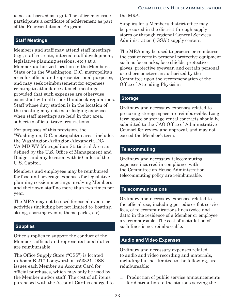<span id="page-26-0"></span>is not authorized as a gift. The office may issue participants a certificate of achievement as part of the Representational Program.

## **Staff Meetings**

Members and staff may attend staff meetings (e.g., staff retreats, internal staff development, legislative planning sessions, etc.) at a Member-authorized location in the Member's State or in the Washington, D.C. metropolitan area for official and representational purposes, and may seek reimbursement for expenses relating to attendance at such meetings, provided that such expenses are otherwise consistent with all other Handbook regulations. Staff whose duty station is in the location of the meeting may not incur lodging expenses when staff meetings are held in that area, subject to official travel restrictions.

For purposes of this provision, the "Washington, D.C. metropolitan area" includes the Washington-Arlington-Alexandria DC-VA-MD-WV Metropolitan Statistical Area as defined by the U.S. Office of Management and Budget and any location with 90 miles of the U.S. Capitol.

Members and employees may be reimbursed for food and beverage expenses for legislative planning session meetings involving Members and their own staff no more than two times per year.

The MRA may not be used for social events or activities (including but not limited to: boating, skiing, sporting events, theme parks, etc).

# **Supplies**

Office supplies to support the conduct of the Member's official and representational duties are reimbursable.

The Office Supply Store ("OSS") is located in Room B-217 Longworth at x53321. OSS issues each Member an Account Card for official purchases, which may only be used by the Member and/or staff. The cost of all items purchased with the Account Card is charged to the MRA.

Supplies for a Member's district office may be procured in the district through supply stores or through regional General Services Administration ("GSA") supply centers.

The MRA may be used to procure or reimburse the cost of certain personal protective equipment such as facemasks, face shields, protective gloves, protective eyewear, and certain personal use thermometers as authorized by the Committee upon the recommendation of the Office of Attending Physician

## **Storage**

Ordinary and necessary expenses related to procuring storage space are reimbursable. Long term space or storage rental contracts should be submitted to the CAO Office of Administrative Counsel for review and approval, and may not exceed the Member's term.

## **Telecommuting**

Ordinary and necessary telecommuting expenses incurred in compliance with the Committee on House Administration telecommuting policy are reimbursable.

## **Telecommunications**

Ordinary and necessary expenses related to the official use, including periodic or flat service fees, of telecommunications lines (voice and data) in the residence of a Member or employee are reimbursable. The cost of installation of such lines is not reimbursable.

## **Audio and Video Expenses**

Ordinary and necessary expenses related to audio and video recording and materials, including but not limited to the following, are reimbursable:

1. Production of public service announcements for distribution to the stations serving the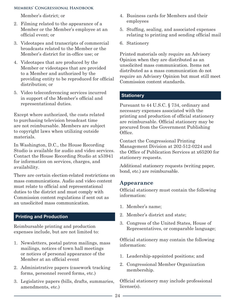<span id="page-27-0"></span>Member's district; or

- 2. Filming related to the appearance of a Member or the Member's employee at an official event; or
- 3. Videotapes and transcripts of commercial broadcasts related to the Member or the Member's district for in-office use; or
- 4. Videotapes that are produced by the Member or videotapes that are provided to a Member and authorized by the providing entity to be reproduced for official distribution; or
- 5. Video teleconferencing services incurred in support of the Member's official and representational duties.

Except where authorized, the costs related to purchasing television broadcast time are not reimbursable. Members are subject to copyright laws when utilizing outside materials.

In Washington, D.C., the House Recording Studio is available for audio and video services. Contact the House Recording Studio at x53941 for information on services, charges, and availability.

There are certain election-related restrictions on mass communications. Audio and video content must relate to official and representational duties to the district and must comply with Commission content regulations if sent out as an unsolicited mass communication.

## **Printing and Production**

Reimbursable printing and production expenses include, but are not limited to:

- 1. Newsletters, postal patron mailings, mass mailings, notices of town hall meetings or notices of personal appearance of the Member at an official event
- 2. Administrative papers (casework tracking forms, personnel record forms, etc.)
- 3. Legislative papers (bills, drafts, summaries, amendments, etc.)
- 4. Business cards for Members and their employees
- 5. Stuffing, sealing, and associated expenses relating to printing and sending official mail
- 6. Stationery

Printed materials only require an Advisory Opinion when they are distributed as an unsolicited mass communication. Items not distributed as a mass communication do not require an Advisory Opinion but must still meet Commission content standards.

## **Stationery**

Pursuant to 44 U.S.C. § 734, ordinary and necessary expenses associated with the printing and production of official stationery are reimbursable. Official stationery may be procured from the Government Publishing Office.

Contact the Congressional Printing Management Division at 202-512-0224 and the Office of Publication Services at x65200 for stationery requests.

Additional stationery requests (writing paper, bond, etc.) are reimbursable.

## **Appearance**

Official stationery must contain the following information:

- 1. Member's name;
- 2. Member's district and state;
- 3. Congress of the United States, House of Representatives, or comparable language;

Official stationery may contain the following information:

- 1. Leadership-appointed positions; and
- 2. Congressional Member Organization membership.

Official stationery may include professional license(s).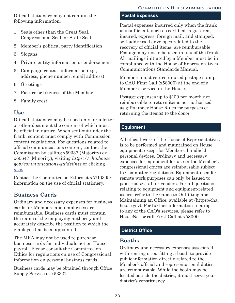<span id="page-28-0"></span>Official stationery may not contain the following information:

- 1. Seals other than the Great Seal, Congressional Seal, or State Seal
- 2. Member's political party identification
- 3. Slogans
- 4. Private entity information or endorsement
- 5. Campaign contact information (e.g., address, phone number, email address)
- 6. Greetings
- 7. Picture or likeness of the Member
- 8. Family crest

# **Use**

Official stationery may be used only for a letter or other document the content of which must be official in nature. When sent out under the frank, content must comply with Commission content regulations. For questions related to official communications content, contact the Commission by calling x59337 (Majority) or x60647 (Minority), visiting *https://cha.house. gov/communications-guidelines* or clicking *here.*

Contact the Committee on Ethics at x57103 for information on the use of official stationery.

# **Business Cards**

Ordinary and necessary expenses for business cards for Members and employees are reimbursable. Business cards must contain the name of the employing authority and accurately describe the position to which the employee has been appointed.

The MRA may not be used to purchase business cards for individuals not on House payroll. Please consult the Committee on Ethics for regulations on use of Congressional information on personal business cards.

Business cards may be obtained through Office Supply Service at x53321.

### **Postal Expenses**

Postal expenses incurred only when the frank is insufficient, such as certified, registered, insured, express, foreign mail, and stamped, self-addressed envelopes related to the recovery of official items, are reimbursable. Postage may not to be used in lieu of the frank. All mailings initiated by a Member must be in compliance with the House of Representatives Communications Standards Manual.

Members must return unused postage stamps to CAO First Call (x58000) at the end of a Member's service in the House.

Postage expenses up to \$100 per month are reimbursable to return items not authorized as gifts under House Rules for purposes of returning the item(s) to the donor.

## **Equipment**

All official work of the House of Representatives is to be performed and maintained on House equipment, except for Members' handheld personal devices. Ordinary and necessary expenses for equipment for use in the Member's congressional offices are reimbursable subject to Committee regulations. Equipment used for remote work purposes can only be issued to paid House staff or vendors. For all questions relating to equipment and equipment-related issues, refer to the Guide to Outfitting and Maintaining an Office, available at (https://cha. house.gov). For further information relating to any of the CAO's services, please refer to HouseNet or call First Call at x58000.

# **District Office**

# **Booths**

Ordinary and necessary expenses associated with renting or outfitting a booth to provide public information directly related to the Member's official and representational duties are reimbursable. While the booth may be located outside the district, it must serve your district's constituency.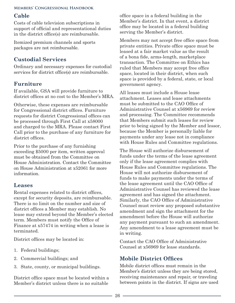# <span id="page-29-0"></span>**Cable**

Costs of cable television subscriptions in support of official and representational duties in the district office(s) are reimbursable.

Itemized premium channels and sports packages are not reimbursable.

# **Custodial Services**

Ordinary and necessary expenses for custodial services for district office(s) are reimbursable.

# **Furniture**

If available, GSA will provide furniture to district offices at no cost to the Member's MRA.

Otherwise, these expenses are reimbursable for Congressional district offices. Furniture requests for district Congressional offices can be processed through First Call at x58000 and charged to the MRA. Please contact First Call prior to the purchase of any furniture for district offices.

Prior to the purchase of any furnishing exceeding \$5000 per item, written approval must be obtained from the Committee on House Administration. Contact the Committee on House Administration at x52061 for more information.

# **Leases**

Rental expenses related to district offices, except for security deposits, are reimbursable. There is no limit on the number and size of district offices a Member may establish. No lease may extend beyond the Member's elected term. Members must notify the Office of Finance at x57474 in writing when a lease is terminated.

District offices may be located in:

- 1. Federal buildings;
- 2. Commercial buildings; and
- 3. State, county, or municipal buildings.

District office space must be located within a Member's district unless there is no suitable

office space in a federal building in the Member's district. In that event, a district office may be located in a federal building serving the Member's district.

Members may not accept free office space from private entities. Private office space must be leased at a fair market value as the result of a bona fide, arms-length, marketplace transaction. The Committee on Ethics has ruled that Members may accept free office space, located in their district, when such space is provided by a federal, state, or local government agency.

All leases must include a House lease attachment. Leases and lease attachments must be submitted to the CAO Office of Administrative Counsel at x56969 for review and processing. The Committee recommends that Members submit such leases for review prior to being signed by the Member and lessor, because the Member is personally liable for payments under any lease not in compliance with House Rules and Committee regulations.

The House will authorize disbursement of funds under the terms of the lease agreement only if the lease agreement complies with House Rules and Committee regulations. The House will not authorize disbursement of funds to make payments under the terms of the lease agreement until the CAO Office of Administrative Counsel has reviewed the lease agreement and has signed the attachment. Similarly, the CAO Office of Administrative Counsel must review any proposed substantive amendment and sign the attachment for the amendment before the House will authorize any payment pursuant to such an amendment. Any amendment to a lease agreement must be in writing.

Contact the CAO Office of Administrative Counsel at x56969 for lease standards.

# **Mobile District Offices**

Mobile district offices must remain in the Member's district unless they are being stored, receiving maintenance and repair, or traveling between points in the district. If signs are used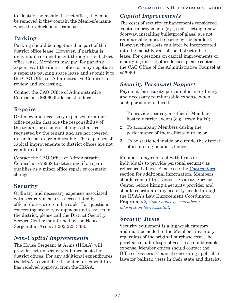<span id="page-30-0"></span>to identify the mobile district office, they must be removed if they contain the Member's name when the vehicle is in transport.

# **Parking**

Parking should be negotiated as part of the district office lease. However, if parking is unavailable or insufficient through the district office lease, Members may pay for parking expenses at the district office or may negotiate a separate parking space lease and submit it to the CAO Office of Administrative Counsel for review and processing.

Contact the CAO Office of Administrative Counsel at x56969 for lease standards.

# **Repairs**

Ordinary and necessary expenses for minor office repairs that are the responsibility of the tenant, or cosmetic changes that are requested by the tenant and are not covered in the lease are reimbursable. The expenses of capital improvements to district offices are not reimbursable.

Contact the CAO Office of Administrative Counsel at x56969 to determine if a repair qualifies as a minor office repair or cosmetic change.

# **Security**

Ordinary and necessary expenses associated with security measures necessitated by official duties are reimbursable. For questions concerning security equipment and services in the district, please call the District Security Service Center maintained by the House Sergeant at Arms at 202-225-3380.

# *Non-Capital Improvements*

The House Sergeant at Arms (HSAA) will provide certain security enhancements for district offices. For any additional expenditures, the MRA is available if the item or expenditure has received approval from the HSAA.

# *Capital Improvements*

The costs of security enhancements considered capital improvements (e.g., constructing a new doorway, installing bulletproof glass) are not reimbursable must be borne by the landlord. However, these costs can later be incorporated into the monthly rent of the district office lease. For questions on capital improvements or modifying district office leases, please contact the CAO Office of the Administrative Counsel at x56969.

# *Security Personnel Support*

Payment for security personnel is an ordinary and necessary reimbursable expense when such personnel is hired:

- 1. To provide security at official, Memberhosted district events (e.g., town halls);
- 2. To accompany Members during the performance of their official duties; or
- 3. To be stationed inside or outside the district office during business hours.

Members may contract with firms or individuals to provide personal security as referenced above. Please see the *[Contractors](#page-9-0)* section for additional information. Members should consult the District Security Service Center before hiring a security provider and should coordinate any security needs through the HSAA's Law Enforcement Coordinator Program: *[http://saa.house.gov/members/](http://saa.house.gov/members/information-for-lecs.shtml) [information-for-lecs.shtml](http://saa.house.gov/members/information-for-lecs.shtml)*.

# *Security Items*

Security equipment is a high-risk category and must be added to the Member's inventory regardless of the original purchase cost. The purchase of a bulletproof vest is a reimbursable expense. Member offices should contact the Office of General Counsel concerning applicable laws for ballistic vests in their state and district.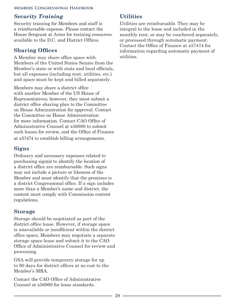# <span id="page-31-0"></span>*Security Training*

Security training for Members and staff is a reimbursable expense. Please contact the House Sergeant at Arms for training resources available to the D.C. and District Offices.

# **Sharing Offices**

A Member may share office space with Members of the United States Senate from the Member's state or with state and local officials, but all expenses (including rent, utilities, etc.) and space must be kept and billed separately.

Members may share a district office with another Member of the US House of Representatives; however, they must submit a district office sharing plan to the Committee on House Administration for approval. Contact the Committee on House Administration for more information. Contact CAO Office of Administrative Counsel at x56969 to submit such leases for review, and the Office of Finance at x57474 to establish billing arrangements.

# **Signs**

Ordinary and necessary expenses related to purchasing sign(s) to identify the location of a district office are reimbursable. Such signs may not include a picture or likeness of the Member and must identify that the premises is a district Congressional office. If a sign includes more than a Member's name and district, the content must comply with Commission content regulations.

# **Storage**

Storage should be negotiated as part of the district office lease. However, if storage space is unavailable or insufficient within the district office space, Members may negotiate a separate storage space lease and submit it to the CAO Office of Administrative Counsel for review and processing.

GSA will provide temporary storage for up to 90 days for district offices at no cost to the Member's MRA.

Contact the CAO Office of Administrative Counsel at x56969 for lease standards.

# **Utilities**

Utilities are reimbursable. They may be integral to the lease and included in the monthly rent, or may be vouchered separately, or processed through automatic payment. Contact the Office of Finance at x57474 for information regarding automatic payment of utilities.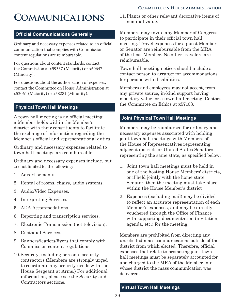# <span id="page-32-0"></span>**Communications**

## **Official Communications Generally**

Ordinary and necessary expenses related to an official communication that complies with Commission content regulations are reimbursable.

For questions about content standards, contact the Commission at x59337 (Majority) or x60647 (Minority).

For questions about the authorization of expenses, contact the Committee on House Administration at x52061 (Majority) or x58281 (Minority).

# **Physical Town Hall Meetings**

A town hall meeting is an official meeting a Member holds within the Member's district with their constituents to facilitate the exchange of information regarding the Member's official and representational duties.

Ordinary and necessary expenses related to town hall meetings are reimbursable.

Ordinary and necessary expenses include, but are not limited to, the following:

- 1. Advertisements.
- 2. Rental of rooms, chairs, audio systems.
- 3. Audio/Video Expenses.
- 4. Interpreting Services.
- 5. ADA Accommodations.
- 6. Reporting and transcription services.
- 7. Electronic Transmission (not television).
- 8. Custodial Services.
- 9. Banners/leaflets/flyers that comply with Commission content regulations.
- 10.Security, including personal security contractors (Members are strongly urged to coordinate any security needs with the House Sergeant at Arms.) For additional information, please see the Security and Contractors sections.

11.Plants or other relevant decorative items of nominal value.

Members may invite any Member of Congress to participate in their official town hall meeting. Travel expenses for a guest Member or Senator are reimbursable from the MRA of the host Member. No other travelers are reimbursable.

Town hall meeting notices should include a contact person to arrange for accommodations for persons with disabilities.

Members and employees may not accept, from any private source, in-kind support having monetary value for a town hall meeting. Contact the Committee on Ethics at x57103.

## **Joint Physical Town Hall Meetings**

Members may be reimbursed for ordinary and necessary expenses associated with holding joint town hall meetings with Members of the House of Representatives representing adjacent districts or United States Senators representing the same state, as specified below.

- 1. Joint town hall meetings must be held in one of the hosting House Members' districts, or if held jointly with the home state Senator, then the meeting must take place within the House Member's district
- 2. Expenses (excluding mail) may be divided to reflect an accurate representation of each Member's expenses, and may be directly vouchered through the Office of Finance with supporting documentation (invitation, agenda, etc.) for the meeting.

Members are prohibited from directing any unsolicited mass communications outside of the district from which elected. Therefore, official expenses that relate to promoting joint town hall meetings must be separately accounted for and charged to the MRA of the Member into whose district the mass communication was delivered.

# **Virtual Town Hall Meetings**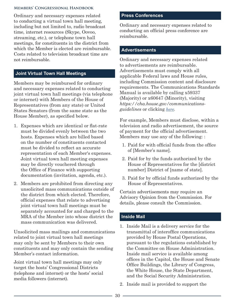<span id="page-33-0"></span>Ordinary and necessary expenses related to conducting a virtual town hall meeting, including but not limited to, radio broadcast time, internet resources (Skype, Oovoo, streaming, etc.), or telephone town hall meetings, for constituents in the district from which the Member is elected are reimbursable. Costs related to television broadcast time are not reimbursable.

## **Joint Virtual Town Hall Meetings**

Members may be reimbursed for ordinary and necessary expenses related to conducting joint virtual town hall meetings (via telephone or internet) with Members of the House of Representatives (from any state) or United States Senators (from the same state as the House Member), as specified below.

- 1. Expenses which are identical or flat-rate must be divided evenly between the two hosts. Expenses which are billed based on the number of constituents contacted must be divided to reflect an accurate representation of each Member's expenses. Joint virtual town hall meeting expenses may be directly vouchered through the Office of Finance with supporting documentation (invitation, agenda, etc.).
- 2. Members are prohibited from directing any unsolicited mass communications outside of the district from which elected. Therefore, official expenses that relate to advertising joint virtual town hall meetings must be separately accounted for and charged to the MRA of the Member into whose district the mass communication was delivered.

Unsolicited mass mailings and communications related to joint virtual town hall meetings may only be sent by Members to their own constituents and may only contain the sending Member's contact information.

Joint virtual town hall meetings may only target the hosts' Congressional Districts (telephone and internet) or the hosts' social media followers (internet).

#### **Press Conferences**

Ordinary and necessary expenses related to conducting an official press conference are reimbursable.

#### **Advertisements**

Ordinary and necessary expenses related to advertisements are reimbursable. Advertisements must comply with all applicable Federal laws and House rules, including Commission content and disclosure requirements. The Communications Standards Manual is available by calling x59337 (Majority) or x60647 (Minority), visiting *https://cha.house.gov/communicationsguidelines* or clicking *here*.

For example, Members must disclose, within a television and radio advertisement, the source of payment for the official advertisement. Members may use any of the following: :

- 1. Paid for with official funds from the office of [Member's name].
- 2. Paid for by the funds authorized by the House of Representatives for the [district number] District of [name of state].
- 3. Paid for by official funds authorized by the House of Representatives.

Certain advertisements may require an Advisory Opinion from the Commission. For details, please consult the Commission.

#### **Inside Mail**

- 1. Inside Mail is a delivery service for the transmittal of interoffice communications provided by House Postal Operations, pursuant to the regulations established by the Committee on House Administration. Inside mail service is available among offices in the Capitol, the House and Senate Office Buildings, the Library of Congress, the White House, the State Department, and the Social Security Administration.
- 2. Inside mail is provided to support the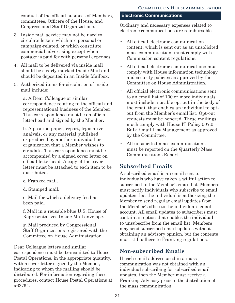<span id="page-34-0"></span>conduct of the official business of Members, committees, Officers of the House, and Congressional Staff Organizations.

- 3. Inside mail service may not be used to circulate letters which are personal or campaign-related, or which constitute commercial advertising except when postage is paid for with personal expenses
- 4. All mail to be delivered via inside mail should be clearly marked Inside Mail and should be deposited in an Inside Mailbox.
- 5. Authorized items for circulation of inside mail include:

a. A Dear Colleague or similar correspondence relating to the official and representational business of the Member. This correspondence must be on official letterhead and signed by the Member.

b. A position paper, report, legislative analysis, or any material published or produced by another individual or organization that a Member wishes to circulate. This correspondence must be accompanied by a signed cover letter on official letterhead. A copy of the cover letter must be attached to each item to be distributed.

c. Franked mail.

d. Stamped mail.

e. Mail for which a delivery fee has been paid.

f. Mail in a reusable blue U.S. House of Representatives Inside Mail envelope.

g. Mail produced by Congressional Staff Organizations registered with the Committee on House Administration.

Dear Colleague letters and similar correspondence must be transmitted to House Postal Operations, in the appropriate quantity, with a cover letter signed by the Member, indicating to whom the mailing should be distributed. For information regarding these procedures, contact House Postal Operations at x63764.

## **Electronic Communications**

Ordinary and necessary expenses related to electronic communications are reimbursable.

- All official electronic communication content, which is sent out as an unsolicited mass communication, must comply with Commission content regulations.
- All official electronic communications must comply with House information technology and security policies as approved by the Committee on House Administration.
- All official electronic communications sent to an email list of 100 or more individuals must include a usable opt-out in the body of the email that enables an individual to optout from the Member's email list. Opt-out requests must be honored. These mailings much comply with House IT Policy 007.0 – Bulk Email List Management as approved by the Committee.
- All unsolicited mass communications must be reported on the Quarterly Mass Communications Report.

# **Subscribed Emails**

A subscribed email is an email sent to individuals who have taken a willful action to subscribed to the Member's email list. Members must notify individuals who subscribe to email updates that the individual is authorizing the Member to send regular email updates from the Member's office to the individual's email account. All email updates to subscribers must contain an option that enables the individual to unsubscribe from the email list. Members may send subscribed email updates without obtaining an advisory opinion, but the contents must still adhere to Franking regulations.

# **Non-subscribed Emails**

If each email address used in a mass communication was not obtained with an individual subscribing for subscribed email updates, then the Member must receive a Franking Advisory prior to the distribution of the mass communication.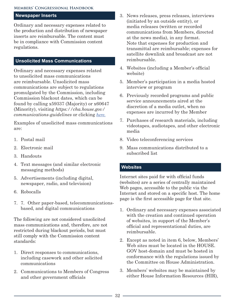#### <span id="page-35-0"></span>**Newspaper Inserts**

Ordinary and necessary expenses related to the production and distribution of newspaper inserts are reimbursable. The content must be in compliance with Commission content regulations.

## **Unsolicited Mass Communications**

Ordinary and necessary expenses related to unsolicited mass communications are reimbursable. Unsolicited mass communications are subject to regulations promulgated by the Commission, including Commission blackout dates, which can be found by calling x59337 (Majority) or x60647 (Minority), visiting *https://cha.house.gov/ communications-guidelines* or clicking *here.*

Examples of unsolicited mass communications are:

- 1. Postal mail
- 2. Electronic mail
- 3. Handouts
- 4. Text messages (and similar electronic messaging methods)
- 5. Advertisements (including digital, newspaper, radio, and television)
- 6. Robocalls
- 7. 7. Other paper-based, telecommunicationsbased, and digital communications

The following are not considered unsolicited mass communications and, therefore, are not restricted during blackout periods, but must still comply with the Commission content standards:

- 1. Direct responses to communications, including casework and other solicited communications
- 2. Communications to Members of Congress and other government officials
- 3. News releases, press releases, interviews (initiated by an outside entity), or media releases (written or recorded communications from Members, directed at the news media), in any format. Note that expenses for production and transmittal are reimbursable; expenses for satellite downlink and broadcast are not reimbursable.
- 4. Websites (including a Member's official website)
- 5. Member's participation in a media hosted interview or program
- 6. Previously recorded programs and public service announcements aired at the discretion of a media outlet, when no expenses are incurred by the Member
- 7. Purchases of research materials, including videotapes, audiotapes, and other electronic media
- 8. Video teleconferencing services
- 9. Mass communications distributed to a subscribed list

#### **Websites**

Internet sites paid for with official funds (websites) are a series of centrally maintained Web pages, accessible to the public via the Internet and stored on a specific host. The home page is the first accessible page for that site.

- 1. Ordinary and necessary expenses associated with the creation and continued operation of websites, in support of the Member's official and representational duties, are reimbursable.
- 2. Except as noted in item 6, below, Members' Web sites must be located in the HOUSE. GOV host-domain and must be hosted in conformance with the regulations issued by the Committee on House Administration.
- 3. Members' websites may be maintained by either House Information Resources (HIR),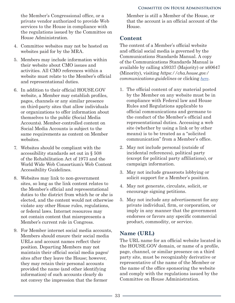<span id="page-36-0"></span>the Member's Congressional office, or a private vendor authorized to provide Web services to the House in compliance with the regulations issued by the Committee on House Administration.

- 4. Committee websites may not be hosted on websites paid for by the MRA.
- 5. Members may include information within their website about CMO issues and activities. All CMO references within a website must relate to the Member's official and representational duties.
- 6. In addition to their official HOUSE.GOV website, a Member may establish profiles, pages, channels or any similar presence on third-party sites that allow individuals or organizations to offer information about themselves to the public (Social Media Accounts). Member-controlled content on Social Media Accounts is subject to the same requirements as content on Member websites.
- 7. Websites should be compliant with the accessibility standards set out in § 508 of the Rehabilitation Act of 1973 and the World Wide Web Consortium's Web Content Accessibility Guidelines.
- 8. Websites may link to non-government sites, so long as the link content relates to the Member's official and representational duties to the district from which he or she is elected, and the content would not otherwise violate any other House rules, regulations, or federal laws. Internet resources may not contain content that misrepresents a Member's current role in Congress.
- 9. For Member internet social media accounts, Members should ensure their social media URLs and account names reflect their position. Departing Members may not maintain their official social media pages/ sites after they leave the House; however, they may retain their personal accounts provided the name (and other identifying information) of such accounts clearly do not convey the impression that the former

Member is still a Member of the House, or that the account is an official account of the House.

# **Content**

The content of a Member's official website and official social media is governed by the Communications Standards Manual. A copy of the Communications Standards Manual is available by calling x59337 (Majority) or x60647 (Minority), visiting *https://cha.house.gov/ communications-guidelines* or clicking *here*.

- 1. The official content of any material posted by the Member on any website must be in compliance with Federal law and House Rules and Regulations applicable to official communications and germane to the conduct of the Member's official and representational duties. Accessing a web site (whether by using a link or by other means) is to be treated as a "solicited communication" from a Member's office.
- 2. May not include personal (outside of incidental references), political party (except for political party affiliations), or campaign information.
- 3. May not include grassroots lobbying or solicit support for a Member's position.
- 4. May not generate, circulate, solicit, or encourage signing petitions.
- 5. May not include any advertisement for any private individual, firm, or corporation, or imply in any manner that the government endorses or favors any specific commercial product, commodity, or service.

# **Name (URL)**

The URL name for an official website located in the HOUSE.GOV domain, or name of a profile, page, channel, or similar presence on a third party site, must be recognizably derivative or representative of the name of the Member or the name of the office sponsoring the website and comply with the regulations issued by the Committee on House Administration.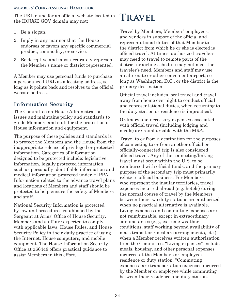<span id="page-37-0"></span>The URL name for an official website located in the HOUSE.GOV domain may not:

- 1. Be a slogan.
- 2. Imply in any manner that the House endorses or favors any specific commercial product, commodity, or service.
- 3. Be deceptive and must accurately represent the Member's name or district represented.

A Member may use personal funds to purchase a personalized URL as a locating address, so long as it points back and resolves to the official website address.

# **Information Security**

The Committee on House Administration issues and maintains policy and standards to guide Members and staff for the protection of House information and equipment.

The purpose of these policies and standards is to protect the Members and the House from the inappropriate release of privileged or protected information. Categories of information designed to be protected include: legislative information, legally protected information such as personally identifiable information and medical information protected under HIPPA. Information related to the advance travel plans and locations of Members and staff should be protected to help ensure the safety of Members and staff.

National Security Information is protected by law and procedures established by the Sergeant at Arms' Office of House Security. Members and staff are expected to comply with applicable laws, House Rules, and House Security Policy in their daily practice of using the Internet, House computers, and mobile equipment. The House Information Security Office at x66448 offers practical guidance to assist Members in this effort.

# **Travel**

Travel by Members, Members' employees, and vendors in support of the official and representational duties of that Member to the district from which he or she is elected is official travel. At times, authorized travelers may need to travel to remote parts of the district or airline schedule may not meet the traveler's need. Members and staff may use an alternate or other convenient airport, so long as Washington, D.C., or the district is the primary destination.

Official travel includes local travel and travel away from home overnight to conduct official and representational duties, when returning to the duty station or residence is impractical.

Ordinary and necessary expenses associated with official travel (including lodging and meals) are reimbursable with the MRA.

Travel to or from a destination for the purposes of connecting to or from another official or officially-connected trip is also considered official travel. Any of the connecting/linking travel must occur within the U.S. to be reimbursed with official funds, and the primary purpose of the secondary trip must primarily relate to official business. For Members who represent the insular territories, travel expenses incurred abroad (e.g. hotels) during the normal course of travel by the Members between their two duty stations are authorized when no practical alternative is available. Living expenses and commuting expenses are not reimbursable, except in extraordinary circumstances (e.g., extreme weather conditions, staff working beyond availability of mass transit or rideshare arrangements, etc.) when a Member receives written authorization from the Committee. "Living expenses" include meals, housing, and other personal expenses incurred at the Member's or employee's residence or duty station. "Commuting expenses" are transportation expenses incurred by the Member or employee while commuting between their residence and duty station.

- 34 -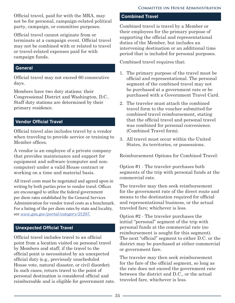<span id="page-38-0"></span>Official travel, paid for with the MRA, may not be for personal, campaign-related political party, campaign, or committee purposes.

Official travel cannot originate from or terminate at a campaign event. Official travel may not be combined with or related to travel or travel-related expenses paid for with campaign funds.

### **General**

Official travel may not exceed 60 consecutive days.

Members have two duty stations: their Congressional District and Washington, D.C.. Staff duty stations are determined by their primary residence.

## **Vendor Official Travel**

Official travel also includes travel by a vendor when traveling to provide service or training to Member offices.

A vendor is an employee of a private company that provides maintenance and support for equipment and software (computer and noncomputer) under a valid House contract or working on a time and material basis.

All travel costs must be negotiated and agreed upon in writing by both parties prior to vendor travel. Offices are encouraged to utilize the federal government per diem rates established by the General Services Administration for vendor travel costs as a benchmark. For a listing of the per diem rates by state and locality, see *www.gsa.gov/portal/category/21287.*

# **Unexpected Official Travel**

Official travel includes travel to an official point from a location visited on personal travel by Members and staff, if the travel to the official point is necessitated by an unexpected official duty (e.g., previously unscheduled House vote, natural disaster, or civil disorder). In such cases, return travel to the point of personal destination is considered official and reimbursable and is eligible for government rate.

### **Combined Travel**

Combined travel is travel by a Member or their employees for the primary purpose of supporting the official and representational duties of the Member, but includes an intervening destination or an additional time period that is included for personal purposes.

Combined travel requires that:

- 1. The primary purpose of the travel must be official and representational. The personal segment of the combined travel may not be purchased at a government rate or be purchased with a Government Travel Card.
- 2. The traveler must attach the combined travel form to the voucher submitted for combined travel reimbursement, stating that the official travel and personal travel was combined for personal convenience. (Combined Travel form).
- 3. All travel must occur within the United States, its territories, or possessions.

Reimbursement Options for Combined Travel:

Option #1 - The traveler purchases both segments of the trip with personal funds at the commercial rate.

The traveler may then seek reimbursement for the government rate of the direct route and means to the destination required for official and representational business, or the actual traveled fare; whichever is less.

Option #2 - The traveler purchases the initial "personal" segment of the trip with personal funds at the commercial rate (no reimbursement is sought for this segment). The next "official" segment to either D.C. or the district may be purchased at either commercial or government fare.

The traveler may then seek reimbursement for the fare of the official segment, so long as the rate does not exceed the government rate between the district and D.C., or the actual traveled fare, whichever is less.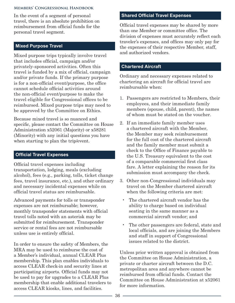<span id="page-39-0"></span>In the event of a segment of personal travel, there is an absolute prohibition on reimbursement from official funds for the personal travel segment.

#### **Mixed Purpose Travel**

Mixed purpose trips typically involve travel that includes official, campaign and/or privately-sponsored activities. Often this travel is funded by a mix of official, campaign and/or private funds. If the primary purpose is for a non-official event/purpose, the office cannot schedule official activities around the non-official event/purpose to make the travel eligible for Congressional offices to be reimbursed. Mixed purpose trips may need to be approved by the Committee on Ethics.

Because mixed travel is so nuanced and specific, please contact the Committee on House Administration x52061 (Majority) or x58281 (Minority) with any initial questions you have when starting to plan the trip/event.

## **Official Travel Expenses**

Official travel expenses including transportation, lodging, meals (excluding alcohol), fees (e.g., parking, tolls, ticket change fees, travel insurance, etc.), and other ordinary and necessary incidental expenses while on official travel status are reimbursable.

Advanced payments for tolls or transponder expenses are not reimbursable; however, monthly transponder statements with official travel tolls noted with an asterisk may be submitted for reimbursement. Transponder service or rental fees are not reimbursable unless use is entirely official.

In order to ensure the safety of Members, the MRA may be used to reimburse the cost of a Member's individual, annual CLEAR Plus membership. This plan enables individuals to access CLEAR check-in and security lines at participating airports. Official funds may not be used to pay for upgrades to a CLEAR Plus membership that enable additional travelers to access CLEAR kiosks, lines, and facilities.

### **Shared Official Travel Expenses**

Official travel expenses may be shared by more than one Member or committee office. The division of expenses must accurately reflect each traveler's expenses, and offices may only pay for the expenses of their respective Member, staff, and authorized vendors.

### **Chartered Aircraft**

Ordinary and necessary expenses related to chartering an aircraft for official travel are reimbursable when:

- 1. Passengers are restricted to Members, their employees, and their immediate family members (spouse, child, parent), the names of whom must be stated on the voucher.
- 2. If an immediate family member uses a chartered aircraft with the Member, the Member may seek reimbursement for the full cost of the chartered aircraft and the family member must submit a check to the Office of Finance payable to the U.S. Treasury equivalent to the cost of a comparable commercial first class fare. A letter explaining the reason for its submission must accompany the check.
- 3. Other non-Congressional individuals may travel on the Member chartered aircraft when the following criteria are met:
	- The chartered aircraft vendor has the ability to charge based on individual seating in the same manner as a commercial aircraft vendor; and
	- The other passengers are federal, state and local officials, and are joining the Members and staff in support of Congressional issues related to the district.

Unless prior written approval is obtained from the Committee on House Administration, a private or charter aircraft between the D.C. metropolitan area and anywhere cannot be reimbursed from official funds. Contact the Committee on House Administration at x52061 for more information.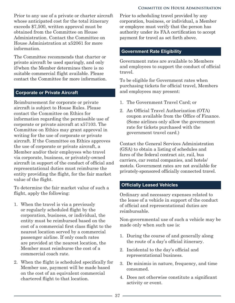#### **Committee on House Administration**

<span id="page-40-0"></span>Prior to any use of a private or charter aircraft whose anticipated cost for the total itinerary exceeds \$7,500, written approval must be obtained from the Committee on House Administration. Contact the Committee on House Administration at x52061 for more information.

The Committee recommends that charter or private aircraft be used sparingly, and only if/when the Member determines there is no suitable commercial flight available. Please contact the Committee for more information.

#### **Corporate or Private Aircraft**

Reimbursement for corporate or private aircraft is subject to House Rules. Please contact the Committee on Ethics for information regarding the permissible use of corporate or private aircraft at x57103. The Committee on Ethics may grant approval in writing for the use of corporate or private aircraft. If the Committee on Ethics approves the use of corporate or private aircraft, a Member and/or their employees who travel via corporate, business, or privately-owned aircraft in support of the conduct of official and representational duties must reimburse the entity providing the flight, for the fair market value of the flight.

To determine the fair market value of such a flight, apply the following:

- 1. When the travel is via a previously or regularly scheduled flight by the corporation, business, or individual, the entity must be reimbursed based on the cost of a commercial first class flight to the nearest location served by a commercial passenger airline. If only coach rates are provided at the nearest location, the Member must reimburse the cost of a commercial coach rate.
- 2. When the flight is scheduled specifically for Member use, payment will be made based on the cost of an equivalent commercial chartered flight to that location.

Prior to scheduling travel provided by any corporation, business, or individual, a Member or employee must verify that the person has authority under its FAA certification to accept payment for travel as set forth above.

#### **Government Rate Eligibility**

Government rates are available to Members and employees to support the conduct of official travel.

To be eligible for Government rates when purchasing tickets for official travel, Members and employees may present:

- 1. The Government Travel Card; or
- 2. An Official Travel Authorization (OTA) coupon available from the Office of Finance. (Some airlines only allow the government rate for tickets purchased with the government travel card.)

Contact the General Services Administration (GSA) to obtain a listing of schedules and fares of the federal contract air, rail, bus carriers, car rental companies, and hotels/ motels. Government rates are not available for privately-sponsored officially connected travel.

#### **Officially Leased Vehicles**

Ordinary and necessary expenses related to the lease of a vehicle in support of the conduct of official and representational duties are reimbursable.

Non-governmental use of such a vehicle may be made only when such use is:

- 1. During the course of and generally along the route of a day's official itinerary.
- 2. Incidental to the day's official and representational business.
- 3. De minimis in nature, frequency, and time consumed.
- 4. Does not otherwise constitute a significant activity or event.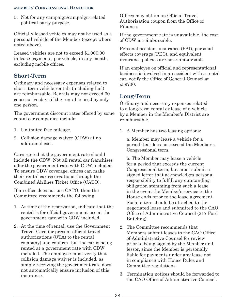<span id="page-41-0"></span>5. Not for any campaign/campaign-related political party purpose.

Officially leased vehicles may not be used as a personal vehicle of the Member (except where noted above).

Leased vehicles are not to exceed \$1,000.00 in lease payments, per vehicle, in any month, excluding mobile offices.

# **Short-Term**

Ordinary and necessary expenses related to short- term vehicle rentals (including fuel) are reimbursable. Rentals may not exceed 60 consecutive days if the rental is used by only one person.

The government discount rates offered by some rental car companies include:

- 1. Unlimited free mileage.
- 2. Collision damage waiver (CDW) at no additional cost.

Cars rented at the government rate should include the CDW. Not all rental car franchises offer the government rate with CDW included. To ensure CDW coverage, offices can make their rental car reservations through the Combined Airlines Ticket Office (CATO).

If an office does not use CATO, then the Committee recommends the following:

- 1. At time of the reservation, indicate that the rental is for official government use at the government rate with CDW included.
- 2. At the time of rental, use the Government Travel Card (or present official travel authorizations (OTA) to the rental company) and confirm that the car is being rented at a government rate with CDW included. The employee must verify that collision damage waiver is included, as simply receiving the government rate does not automatically ensure inclusion of this insurance.

Offices may obtain an Official Travel Authorization coupon from the Office of Finance.

If the government rate is unavailable, the cost of CDW is reimbursable.

Personal accident insurance (PAI), personal effects coverage (PEC), and equivalent insurance policies are not reimbursable.

If an employee on official and representational business is involved in an accident with a rental car, notify the Office of General Counsel at x59700.

# **Long-Term**

Ordinary and necessary expenses related to a long-term rental or lease of a vehicle by a Member in the Member's District are reimbursable.

1. A Member has two leasing options:

a. Member may lease a vehicle for a period that does not exceed the Member's Congressional term.

- b. The Member may lease a vehicle for a period that exceeds the current Congressional term, but must submit a signed letter that acknowledges personal responsibility to fulfill any outstanding obligation stemming from such a lease in the event the Member's service to the House ends prior to the lease agreement. Such letters should be attached to the negotiated lease and submitted to the CAO Office of Administrative Counsel (217 Ford Building).
- 2. The Committee recommends that Members submit leases to the CAO Office of Administrative Counsel for review prior to being signed by the Member and lessor, since the Member is personally liable for payments under any lease not in compliance with House Rules and Committee regulations.
- 3. Termination notices should be forwarded to the CAO Office of Administrative Counsel.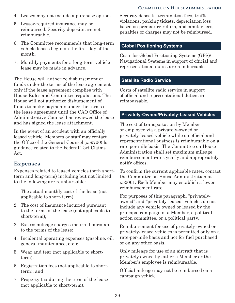#### **Committee on House Administration**

- <span id="page-42-0"></span>4. Leases may not include a purchase option.
- 5. Lessor-required insurance may be reimbursed. Security deposits are not reimbursable.
- 6. The Committee recommends that long-term vehicle leases begin on the first day of the month.
- 7. Monthly payments for a long-term vehicle lease may be made in advance.

The House will authorize disbursement of funds under the terms of the lease agreement only if the lease agreement complies with House Rules and Committee regulations. The House will not authorize disbursement of funds to make payments under the terms of the lease agreement until the CAO Office of Administrative Counsel has reviewed the lease and has signed the lease attachment.

In the event of an accident with an officially leased vehicle, Members or staff may contact the Office of the General Counsel (x59700) for guidance related to the Federal Tort Claims Act.

# **Expenses**

Expenses related to leased vehicles (both shortterm and long-term) including but not limited to the following are reimbursable:

- 1. The actual monthly cost of the lease (not applicable to short-term);
- 2. The cost of insurance incurred pursuant to the terms of the lease (not applicable to short-term);
- 3. Excess mileage charges incurred pursuant to the terms of the lease;
- 4. Incidental operating expenses (gasoline, oil, general maintenance, etc.);
- 5. Wear and tear (not applicable to shortterm);
- 6. Registration fees (not applicable to shortterm); and
- 7. Property tax during the term of the lease (not applicable to short-term).

Security deposits, termination fees, traffic violations, parking tickets, depreciation loss based on premature return, and similar fees, penalties or charges may not be reimbursed.

#### **Global Positioning Systems**

Costs for Global Positioning Systems (GPS)/ Navigational Systems in support of official and representational duties are reimbursable.

#### **Satellite Radio Service**

Costs of satellite radio service in support of official and representational duties are reimbursable.

#### **Privately-Owned/Privately-Leased Vehicles**

The cost of transportation by Member or employee via a privately-owned or privately-leased vehicle while on official and representational business is reimbursable on a rate per mile basis. The Committee on House Administration shall set maximum mileage reimbursement rates yearly and appropriately notify offices.

To confirm the current applicable rates, contact the Committee on House Administration at x52061. Each Member may establish a lower reimbursement rate.

For purposes of this paragraph, "privatelyowned" and "privately-leased" vehicles do not include any vehicle owned or leased by the principal campaign of a Member, a politicalaction committee, or a political party.

Reimbursement for use of privately-owned or privately-leased vehicles is permitted only on a rate-per-mile basis and not for fuel purchased or on any other basis.

Only mileage for use of an aircraft that is privately owned by either a Member or the Member's employee is reimbursable.

Official mileage may not be reimbursed on a campaign vehicle.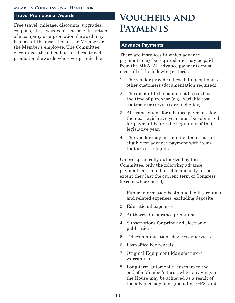#### <span id="page-43-0"></span>**Travel Promotional Awards**

Free travel, mileage, discounts, upgrades, coupons, etc., awarded at the sole discretion of a company as a promotional award may be used at the discretion of the Member or the Member's employee. The Committee encourages the official use of these travel promotional awards wherever practicable.

# **Vouchers and Payments**

#### **Advance Payments**

There are instances in which advance payments may be required and may be paid from the MRA. All advance payments must meet all of the following criteria:

- 1. The vendor provides these billing options to other customers (documentation required).
- 2. The amount to be paid must be fixed at the time of purchase (e.g., variable cost contracts or services are ineligible).
- 3. All transactions for advance payments for the next legislative year must be submitted for payment before the beginning of that legislative year.
- 4. The vendor may not bundle items that are eligible for advance payment with items that are not eligible.

Unless specifically authorized by the Committee, only the following advance payments are reimbursable and only to the extent they last the current term of Congress (except where noted):

- 1. Public information booth and facility rentals and related expenses, excluding deposits
- 2. Educational expenses
- 3. Authorized insurance premiums
- 4. Subscriptions for print and electronic publications
- 5. Telecommunications devices or services
- 6. Post-office box rentals
- 7. Original Equipment Manufacturers' warranties
- 8. Long-term automobile leases up to the end of a Member's term, when a savings to the House may be achieved as a result of the advance payment (including GPS, and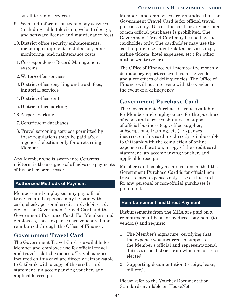#### **Committee on House Administration**

<span id="page-44-0"></span>satellite radio services)

- 9. Web and information technology services (including cable television, website design, and software license and maintenance fees)
- 10.District office security enhancements, including equipment, installation, labor, monitoring, and maintenance costs
- 11.Correspondence Record Management systems
- 12.Water/coffee services
- 13.District office recycling and trash fees, janitorial services
- 14.District office rent
- 15.District office parking
- 16.Airport parking
- 17.Constituent databases
- 18.Travel screening services permitted by these regulations (may be paid after a general election only for a returning Member

Any Member who is sworn into Congress midterm is the assignee of all advance payments of his or her predecessor.

# **Authorized Methods of Payment**

Members and employees may pay official travel-related expenses may be paid with cash, check, personal credit card, debit card, etc., or the Government Travel Card and the Government Purchase Card. For Members and employees, these expenses are vouchered and reimbursed through the Office of Finance.

# **Government Travel Card**

The Government Travel Card is available for Member and employee use for official travel and travel-related expenses. Travel expenses incurred on this card are directly reimbursable to Citibank with a copy of the credit card statement, an accompanying voucher, and applicable receipts.

Members and employees are reminded that the Government Travel Card is for official travel purposes only. Use of this card for any personal or non-official purchases is prohibited. The Government Travel Card may be used by the cardholder only. The cardholder may use the card to purchase travel-related services (e.g., airline tickets, hotel expenses, etc.) for other authorized travelers.

The Office of Finance will monitor the monthly delinquency report received from the vendor and alert offices of delinquencies. The Office of Finance will not intervene with the vendor in the event of a delinquency.

# **Government Purchase Card**

The Government Purchase Card is available for Member and employee use for the purchase of goods and services obtained in support of official business (e.g., office supplies, subscriptions, training, etc.). Expenses incurred on this card are directly reimbursable to Citibank with the completion of online expense reallocation, a copy of the credit card statement, an accompanying voucher, and applicable receipts.

Members and employees are reminded that the Government Purchase Card is for official nontravel related expenses only. Use of this card for any personal or non-official purchases is prohibited.

#### **Reimbursement and Direct Payment**

Disbursements from the MRA are paid on a reimbursement basis or by direct payment (to vendors) and require:

- 1. The Member's signature, certifying that the expense was incurred in support of the Member's official and representational duties to the district from which he or she is elected.
- 2. Supporting documentation (receipt, lease, bill etc.).

Please refer to the Voucher Documentation Standards available on HouseNet.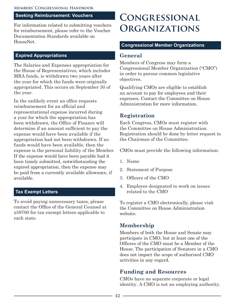#### <span id="page-45-0"></span>**Seeking Reimbursement: Vouchers**

For information related to submitting vouchers for reimbursement, please refer to the Voucher Documentation Standards available on HouseNet.

#### **Expired Appropriations**

The Salaries and Expenses appropriation for the House of Representatives, which includes MRA funds, is withdrawn two years after the year for which the funds were originally appropriated. This occurs on September 30 of the year.

In the unlikely event an office requests reimbursement for an official and representational expense incurred during a year for which the appropriation has been withdrawn, the Office of Finance will determine if an amount sufficient to pay the expense would have been available if the appropriation had not been withdrawn. If no funds would have been available, then the expense is the personal liability of the Member. If the expense would have been payable had it been timely submitted, notwithstanding the expired appropriation, then the expense may be paid from a currently available allowance, if available.

#### **Tax Exempt Letters**

To avoid paying unnecessary taxes, please contact the Office of the General Counsel at x59700 for tax exempt letters applicable to each state.

# **Congressional Organizations**

#### **Congressional Member Organizations**

### **General**

Members of Congress may form a Congressional Member Organization ("CMO") in order to pursue common legislative objectives.

Qualifying CMOs are eligible to establish an account to pay for employees and their expenses. Contact the Committee on House Administration for more information.

# **Registration**

Each Congress, CMOs must register with the Committee on House Administration. Registration should be done by letter request to the Chairman of the Committee.

CMOs must provide the following information:

- 1. Name
- 2. Statement of Purpose
- 3. Officers of the CMO
- 4. Employee designated to work on issues related to the CMO

To register a CMO electronically, please visit the Committee on House Administration website.

# **Membership**

Members of both the House and Senate may participate in CMO, but at least one of the Officers of the CMO must be a Member of the House. The participation of Senators in a CMO does not impact the scope of authorized CMO activities in any regard.

# **Funding and Resources**

CMOs have no separate corporate or legal identity. A CMO is not an employing authority.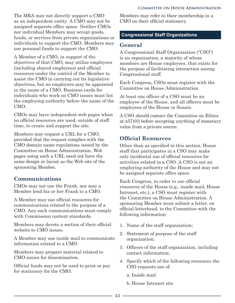<span id="page-46-0"></span>The MRA may not directly support a CMO as an independent entity. A CMO may not be assigned separate office space. Neither CMOs nor individual Members may accept goods, funds, or services from private organizations or individuals to support the CMO. Members may use personal funds to support the CMO.

A Member of a CMO, in support of the objectives of that CMO, may utilize employees (including shared employees) and official resources under the control of the Member to assist the CMO in carrying out its legislative objectives, but no employees may be appointed in the name of a CMO. Business cards for individuals who work on CMO issues must list the employing authority before the name of the CMO.

CMOs may have independent web pages when no official resources are used, outside of staff time, to create and support the site.

Members may request a URL for a CMO, provided that the request complies with the CMO domain name regulations issued by the Committee on House Administration. Web pages using such a URL need not have the same design or layout as the Web site of the sponsoring Member.

# **Communications**

CMOs may not use the Frank, nor may a Member lend his or her Frank to a CMO.

A Member may use official resources for communications related to the purpose of a CMO. Any such communications must comply with Commission content standards.

Members may devote a section of their official website to CMO issues.

A Member may use inside mail to communicate information related to a CMO.

Members may prepare material related to CMO issues for dissemination.

Official funds may not be used to print or pay for stationery for the CMO.

Members may refer to their membership in a CMO on their official stationery.

# **Congressional Staff Organizations**

# **General**

A Congressional Staff Organization ("CSO") is an organization, a majority of whose members are House employees, that exists for the purpose of facilitating interaction among Congressional staff.

Each Congress, CSOs must register with the Committee on House Administration.

At least one officer of a CSO must be an employee of the House, and all officers must be employees of the House or Senate.

A CSO should contact the Committee on Ethics at x57103 before accepting anything of monetary value from a private source.

# **Official Resources**

Other than as specified in this section, House staff that participates in a CSO may make only incidental use of official resources for activities related to a CSO. A CSO is not an employing authority of the House and may not be assigned separate office space.

Each Congress, in order to use official resources of the House (e.g., inside mail, House Intranet, etc.), a CSO must register with the Committee on House Administration. A sponsoring Member must submit a letter, on official letterhead, to the Committee with the following information:

- 1. Name of the staff organization;
- 2. Statement of purpose of the staff organization;
- 3. Officers of the staff organization, including contact information;
- 4. Specify which of the following resources the CSO requests use of:
	- a. Inside mail
	- b. House Intranet site